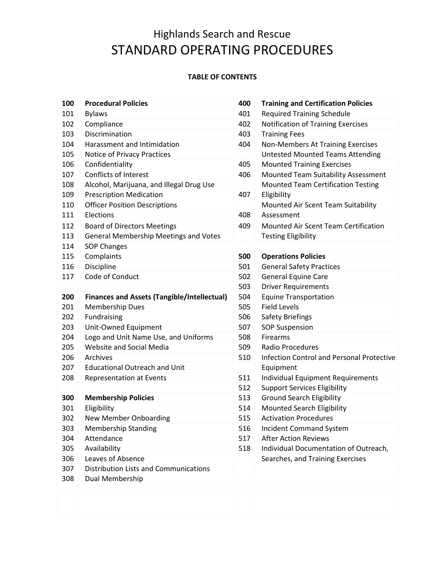## **TABLE OF CONTENTS**

| 100 | <b>Procedural Policies</b>                         | 400 | <b>Training and Certification Policies</b>       |
|-----|----------------------------------------------------|-----|--------------------------------------------------|
| 101 | <b>Bylaws</b>                                      | 401 | <b>Required Training Schedule</b>                |
| 102 | Compliance                                         | 402 | Notification of Training Exercises               |
| 103 | Discrimination                                     | 403 | <b>Training Fees</b>                             |
| 104 | Harassment and Intimidation                        | 404 | Non-Members At Training Exercises                |
| 105 | Notice of Privacy Practices                        |     | <b>Untested Mounted Teams Attending</b>          |
| 106 | Confidentiality                                    | 405 | <b>Mounted Training Exercises</b>                |
| 107 | <b>Conflicts of Interest</b>                       | 406 | Mounted Team Suitability Assessment              |
| 108 | Alcohol, Marijuana, and Illegal Drug Use           |     | <b>Mounted Team Certification Testing</b>        |
| 109 | <b>Prescription Medication</b>                     | 407 | Eligibility                                      |
| 110 | <b>Officer Position Descriptions</b>               |     | Mounted Air Scent Team Suitability               |
| 111 | Elections                                          | 408 | Assessment                                       |
| 112 | <b>Board of Directors Meetings</b>                 | 409 | Mounted Air Scent Team Certification             |
| 113 | <b>General Membership Meetings and Votes</b>       |     | <b>Testing Eligibility</b>                       |
| 114 | SOP Changes                                        |     |                                                  |
| 115 | Complaints                                         | 500 | <b>Operations Policies</b>                       |
| 116 | Discipline                                         | 501 | <b>General Safety Practices</b>                  |
| 117 | Code of Conduct                                    | 502 | <b>General Equine Care</b>                       |
|     |                                                    | 503 | <b>Driver Requirements</b>                       |
| 200 | <b>Finances and Assets (Tangible/Intellectual)</b> | 504 | <b>Equine Transportation</b>                     |
| 201 | <b>Membership Dues</b>                             | 505 | <b>Field Levels</b>                              |
| 202 | Fundraising                                        | 506 | <b>Safety Briefings</b>                          |
| 203 | Unit-Owned Equipment                               | 507 | <b>SOP Suspension</b>                            |
| 204 | Logo and Unit Name Use, and Uniforms               | 508 | Firearms                                         |
| 205 | Website and Social Media                           | 509 | Radio Procedures                                 |
| 206 | Archives                                           | 510 | <b>Infection Control and Personal Protective</b> |
| 207 | <b>Educational Outreach and Unit</b>               |     | Equipment                                        |
| 208 | <b>Representation at Events</b>                    | 511 | <b>Individual Equipment Requirements</b>         |
|     |                                                    | 512 | <b>Support Services Eligibility</b>              |
| 300 | <b>Membership Policies</b>                         | 513 | <b>Ground Search Eligibility</b>                 |
| 301 | Eligibility                                        | 514 | Mounted Search Eligibility                       |
| 302 | <b>New Member Onboarding</b>                       | 515 | <b>Activation Procedures</b>                     |
| 303 | <b>Membership Standing</b>                         | 516 | <b>Incident Command System</b>                   |
| 304 | Attendance                                         | 517 | <b>After Action Reviews</b>                      |
| 305 | Availability                                       | 518 | Individual Documentation of Outreach,            |
| 306 | Leaves of Absence                                  |     | Searches, and Training Exercises                 |
| 307 | <b>Distribution Lists and Communications</b>       |     |                                                  |
| 308 | Dual Membership                                    |     |                                                  |
|     |                                                    |     |                                                  |
|     |                                                    |     |                                                  |
|     |                                                    |     |                                                  |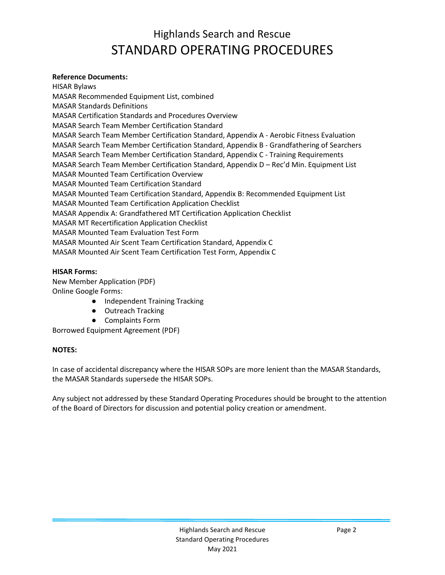### **Reference Documents:**

HISAR Bylaws MASAR Recommended Equipment List, combined MASAR Standards Definitions MASAR Certification Standards and Procedures Overview MASAR Search Team Member Certification Standard MASAR Search Team Member Certification Standard, Appendix A - Aerobic Fitness Evaluation MASAR Search Team Member Certification Standard, Appendix B - Grandfathering of Searchers MASAR Search Team Member Certification Standard, Appendix C - Training Requirements MASAR Search Team Member Certification Standard, Appendix D – Rec'd Min. Equipment List MASAR Mounted Team Certification Overview MASAR Mounted Team Certification Standard MASAR Mounted Team Certification Standard, Appendix B: Recommended Equipment List MASAR Mounted Team Certification Application Checklist MASAR Appendix A: Grandfathered MT Certification Application Checklist MASAR MT Recertification Application Checklist MASAR Mounted Team Evaluation Test Form MASAR Mounted Air Scent Team Certification Standard, Appendix C MASAR Mounted Air Scent Team Certification Test Form, Appendix C

### **HISAR Forms:**

New Member Application (PDF) Online Google Forms:

- Independent Training Tracking
- Outreach Tracking
- Complaints Form

Borrowed Equipment Agreement (PDF)

## **NOTES:**

In case of accidental discrepancy where the HISAR SOPs are more lenient than the MASAR Standards, the MASAR Standards supersede the HISAR SOPs.

Any subject not addressed by these Standard Operating Procedures should be brought to the attention of the Board of Directors for discussion and potential policy creation or amendment.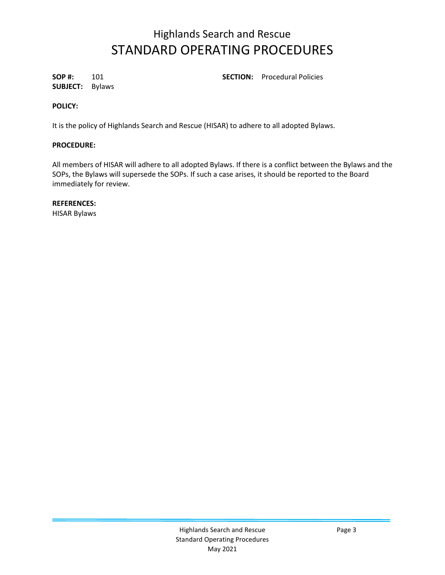**SUBJECT:** Bylaws

**SOP #:** 101 **SECTION:** Procedural Policies

### **POLICY:**

It is the policy of Highlands Search and Rescue (HISAR) to adhere to all adopted Bylaws.

#### **PROCEDURE:**

All members of HISAR will adhere to all adopted Bylaws. If there is a conflict between the Bylaws and the SOPs, the Bylaws will supersede the SOPs. If such a case arises, it should be reported to the Board immediately for review.

### **REFERENCES:**

HISAR Bylaws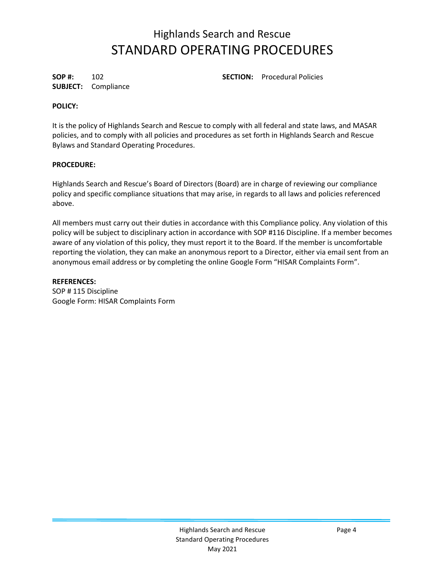**SUBJECT:** Compliance

**SOP #:** 102 **SECTION:** Procedural Policies

### **POLICY:**

It is the policy of Highlands Search and Rescue to comply with all federal and state laws, and MASAR policies, and to comply with all policies and procedures as set forth in Highlands Search and Rescue Bylaws and Standard Operating Procedures.

#### **PROCEDURE:**

Highlands Search and Rescue's Board of Directors (Board) are in charge of reviewing our compliance policy and specific compliance situations that may arise, in regards to all laws and policies referenced above.

All members must carry out their duties in accordance with this Compliance policy. Any violation of this policy will be subject to disciplinary action in accordance with SOP #116 Discipline. If a member becomes aware of any violation of this policy, they must report it to the Board. If the member is uncomfortable reporting the violation, they can make an anonymous report to a Director, either via email sent from an anonymous email address or by completing the online Google Form "HISAR Complaints Form".

**REFERENCES:** SOP # 115 Discipline Google Form: HISAR Complaints Form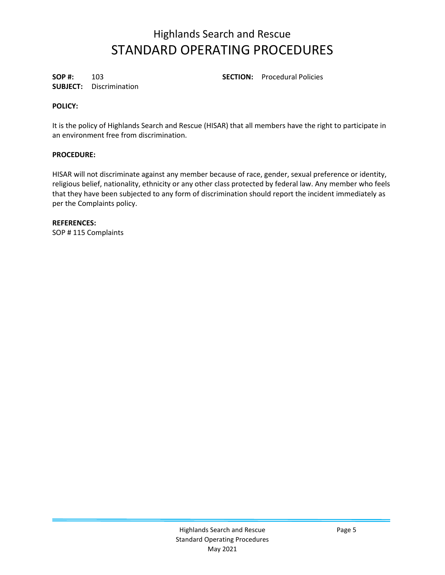**SUBJECT:** Discrimination

**SOP #:** 103 **SECTION:** Procedural Policies

## **POLICY:**

It is the policy of Highlands Search and Rescue (HISAR) that all members have the right to participate in an environment free from discrimination.

## **PROCEDURE:**

HISAR will not discriminate against any member because of race, gender, sexual preference or identity, religious belief, nationality, ethnicity or any other class protected by federal law. Any member who feels that they have been subjected to any form of discrimination should report the incident immediately as per the Complaints policy.

**REFERENCES:** SOP # 115 Complaints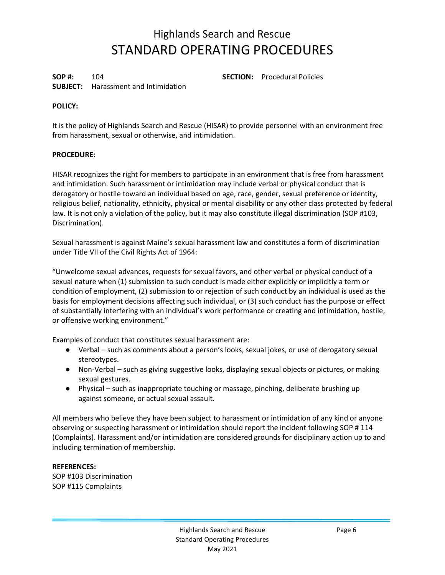**SOP #:** 104 **SECTION:** Procedural Policies **SUBJECT:** Harassment and Intimidation

### **POLICY:**

It is the policy of Highlands Search and Rescue (HISAR) to provide personnel with an environment free from harassment, sexual or otherwise, and intimidation.

#### **PROCEDURE:**

HISAR recognizes the right for members to participate in an environment that is free from harassment and intimidation. Such harassment or intimidation may include verbal or physical conduct that is derogatory or hostile toward an individual based on age, race, gender, sexual preference or identity, religious belief, nationality, ethnicity, physical or mental disability or any other class protected by federal law. It is not only a violation of the policy, but it may also constitute illegal discrimination (SOP #103, Discrimination).

Sexual harassment is against Maine's sexual harassment law and constitutes a form of discrimination under Title VII of the Civil Rights Act of 1964:

"Unwelcome sexual advances, requests for sexual favors, and other verbal or physical conduct of a sexual nature when (1) submission to such conduct is made either explicitly or implicitly a term or condition of employment, (2) submission to or rejection of such conduct by an individual is used as the basis for employment decisions affecting such individual, or (3) such conduct has the purpose or effect of substantially interfering with an individual's work performance or creating and intimidation, hostile, or offensive working environment."

Examples of conduct that constitutes sexual harassment are:

- Verbal such as comments about a person's looks, sexual jokes, or use of derogatory sexual stereotypes.
- Non-Verbal such as giving suggestive looks, displaying sexual objects or pictures, or making sexual gestures.
- Physical such as inappropriate touching or massage, pinching, deliberate brushing up against someone, or actual sexual assault.

All members who believe they have been subject to harassment or intimidation of any kind or anyone observing or suspecting harassment or intimidation should report the incident following SOP # 114 (Complaints). Harassment and/or intimidation are considered grounds for disciplinary action up to and including termination of membership.

## **REFERENCES:**

SOP #103 Discrimination SOP #115 Complaints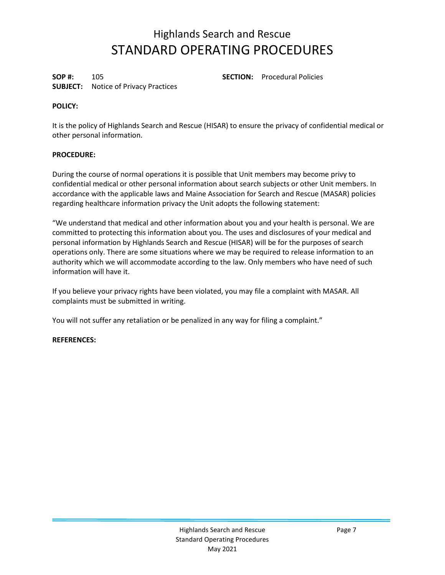**SOP #:** 105 **SECTION:** Procedural Policies **SUBJECT:** Notice of Privacy Practices

### **POLICY:**

It is the policy of Highlands Search and Rescue (HISAR) to ensure the privacy of confidential medical or other personal information.

### **PROCEDURE:**

During the course of normal operations it is possible that Unit members may become privy to confidential medical or other personal information about search subjects or other Unit members. In accordance with the applicable laws and Maine Association for Search and Rescue (MASAR) policies regarding healthcare information privacy the Unit adopts the following statement:

"We understand that medical and other information about you and your health is personal. We are committed to protecting this information about you. The uses and disclosures of your medical and personal information by Highlands Search and Rescue (HISAR) will be for the purposes of search operations only. There are some situations where we may be required to release information to an authority which we will accommodate according to the law. Only members who have need of such information will have it.

If you believe your privacy rights have been violated, you may file a complaint with MASAR. All complaints must be submitted in writing.

You will not suffer any retaliation or be penalized in any way for filing a complaint."

#### **REFERENCES:**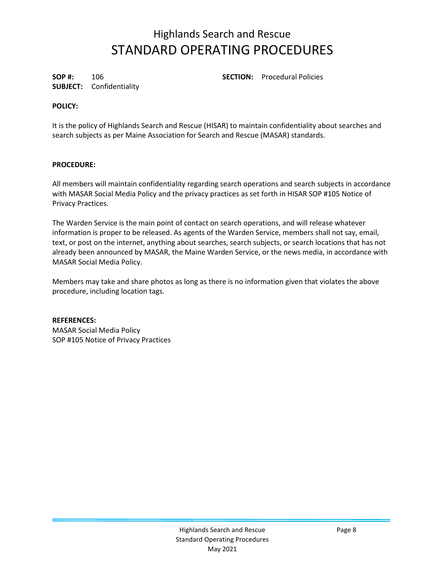**SUBJECT:** Confidentiality

**SOP #:** 106 **SECTION:** Procedural Policies

## **POLICY:**

It is the policy of Highlands Search and Rescue (HISAR) to maintain confidentiality about searches and search subjects as per Maine Association for Search and Rescue (MASAR) standards.

### **PROCEDURE:**

All members will maintain confidentiality regarding search operations and search subjects in accordance with MASAR Social Media Policy and the privacy practices as set forth in HISAR SOP #105 Notice of Privacy Practices.

The Warden Service is the main point of contact on search operations, and will release whatever information is proper to be released. As agents of the Warden Service, members shall not say, email, text, or post on the internet, anything about searches, search subjects, or search locations that has not already been announced by MASAR, the Maine Warden Service, or the news media, in accordance with MASAR Social Media Policy.

Members may take and share photos as long as there is no information given that violates the above procedure, including location tags.

#### **REFERENCES:**

MASAR Social Media Policy SOP #105 Notice of Privacy Practices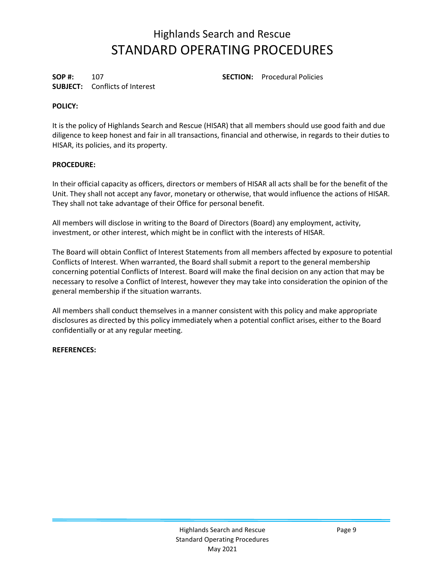**SUBJECT:** Conflicts of Interest

**SOP #:** 107 **SECTION:** Procedural Policies

## **POLICY:**

It is the policy of Highlands Search and Rescue (HISAR) that all members should use good faith and due diligence to keep honest and fair in all transactions, financial and otherwise, in regards to their duties to HISAR, its policies, and its property.

### **PROCEDURE:**

In their official capacity as officers, directors or members of HISAR all acts shall be for the benefit of the Unit. They shall not accept any favor, monetary or otherwise, that would influence the actions of HISAR. They shall not take advantage of their Office for personal benefit.

All members will disclose in writing to the Board of Directors (Board) any employment, activity, investment, or other interest, which might be in conflict with the interests of HISAR.

The Board will obtain Conflict of Interest Statements from all members affected by exposure to potential Conflicts of Interest. When warranted, the Board shall submit a report to the general membership concerning potential Conflicts of Interest. Board will make the final decision on any action that may be necessary to resolve a Conflict of Interest, however they may take into consideration the opinion of the general membership if the situation warrants.

All members shall conduct themselves in a manner consistent with this policy and make appropriate disclosures as directed by this policy immediately when a potential conflict arises, either to the Board confidentially or at any regular meeting.

#### **REFERENCES:**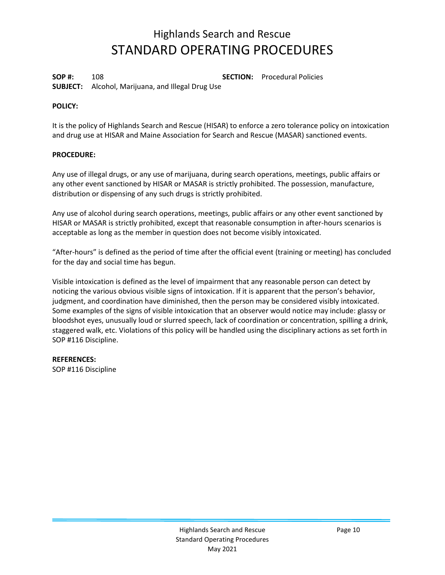**SOP #:** 108 **SECTION:** Procedural Policies

**SUBJECT:** Alcohol, Marijuana, and Illegal Drug Use

## **POLICY:**

It is the policy of Highlands Search and Rescue (HISAR) to enforce a zero tolerance policy on intoxication and drug use at HISAR and Maine Association for Search and Rescue (MASAR) sanctioned events.

## **PROCEDURE:**

Any use of illegal drugs, or any use of marijuana, during search operations, meetings, public affairs or any other event sanctioned by HISAR or MASAR is strictly prohibited. The possession, manufacture, distribution or dispensing of any such drugs is strictly prohibited.

Any use of alcohol during search operations, meetings, public affairs or any other event sanctioned by HISAR or MASAR is strictly prohibited, except that reasonable consumption in after-hours scenarios is acceptable as long as the member in question does not become visibly intoxicated.

"After-hours" is defined as the period of time after the official event (training or meeting) has concluded for the day and social time has begun.

Visible intoxication is defined as the level of impairment that any reasonable person can detect by noticing the various obvious visible signs of intoxication. If it is apparent that the person's behavior, judgment, and coordination have diminished, then the person may be considered visibly intoxicated. Some examples of the signs of visible intoxication that an observer would notice may include: glassy or bloodshot eyes, unusually loud or slurred speech, lack of coordination or concentration, spilling a drink, staggered walk, etc. Violations of this policy will be handled using the disciplinary actions as set forth in SOP #116 Discipline.

## **REFERENCES:**

SOP #116 Discipline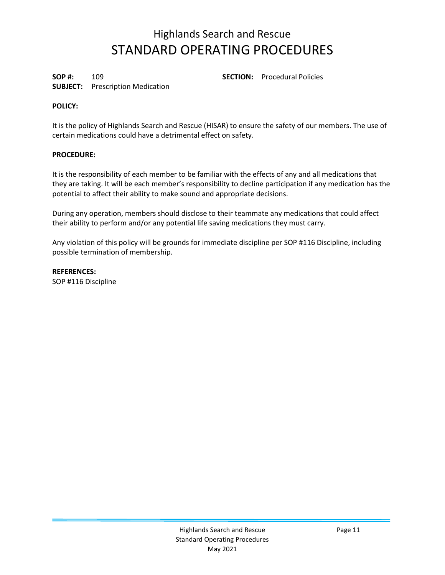**SOP #:** 109 **SECTION:** Procedural Policies

## **SUBJECT:** Prescription Medication

### **POLICY:**

It is the policy of Highlands Search and Rescue (HISAR) to ensure the safety of our members. The use of certain medications could have a detrimental effect on safety.

### **PROCEDURE:**

It is the responsibility of each member to be familiar with the effects of any and all medications that they are taking. It will be each member's responsibility to decline participation if any medication has the potential to affect their ability to make sound and appropriate decisions.

During any operation, members should disclose to their teammate any medications that could affect their ability to perform and/or any potential life saving medications they must carry.

Any violation of this policy will be grounds for immediate discipline per SOP #116 Discipline, including possible termination of membership.

**REFERENCES:** SOP #116 Discipline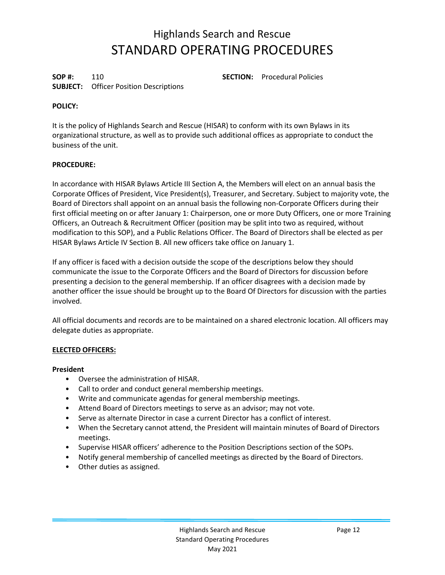**SOP #:** 110 **SECTION:** Procedural Policies **SUBJECT:** Officer Position Descriptions

### **POLICY:**

It is the policy of Highlands Search and Rescue (HISAR) to conform with its own Bylaws in its organizational structure, as well as to provide such additional offices as appropriate to conduct the business of the unit.

#### **PROCEDURE:**

In accordance with HISAR Bylaws Article III Section A, the Members will elect on an annual basis the Corporate Offices of President, Vice President(s), Treasurer, and Secretary. Subject to majority vote, the Board of Directors shall appoint on an annual basis the following non-Corporate Officers during their first official meeting on or after January 1: Chairperson, one or more Duty Officers, one or more Training Officers, an Outreach & Recruitment Officer (position may be split into two as required, without modification to this SOP), and a Public Relations Officer. The Board of Directors shall be elected as per HISAR Bylaws Article IV Section B. All new officers take office on January 1.

If any officer is faced with a decision outside the scope of the descriptions below they should communicate the issue to the Corporate Officers and the Board of Directors for discussion before presenting a decision to the general membership. If an officer disagrees with a decision made by another officer the issue should be brought up to the Board Of Directors for discussion with the parties involved.

All official documents and records are to be maintained on a shared electronic location. All officers may delegate duties as appropriate.

#### **ELECTED OFFICERS:**

#### **President**

- Oversee the administration of HISAR.
- Call to order and conduct general membership meetings.
- Write and communicate agendas for general membership meetings.
- Attend Board of Directors meetings to serve as an advisor; may not vote.
- Serve as alternate Director in case a current Director has a conflict of interest.
- When the Secretary cannot attend, the President will maintain minutes of Board of Directors meetings.
- Supervise HISAR officers' adherence to the Position Descriptions section of the SOPs.
- Notify general membership of cancelled meetings as directed by the Board of Directors.
- Other duties as assigned.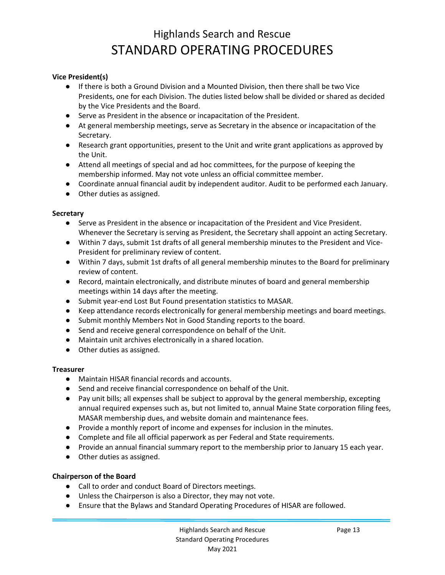### **Vice President(s)**

- If there is both a Ground Division and a Mounted Division, then there shall be two Vice Presidents, one for each Division. The duties listed below shall be divided or shared as decided by the Vice Presidents and the Board.
- Serve as President in the absence or incapacitation of the President.
- At general membership meetings, serve as Secretary in the absence or incapacitation of the Secretary.
- Research grant opportunities, present to the Unit and write grant applications as approved by the Unit.
- Attend all meetings of special and ad hoc committees, for the purpose of keeping the membership informed. May not vote unless an official committee member.
- Coordinate annual financial audit by independent auditor. Audit to be performed each January.
- Other duties as assigned.

#### **Secretary**

- Serve as President in the absence or incapacitation of the President and Vice President. Whenever the Secretary is serving as President, the Secretary shall appoint an acting Secretary.
- Within 7 days, submit 1st drafts of all general membership minutes to the President and Vice-President for preliminary review of content.
- Within 7 days, submit 1st drafts of all general membership minutes to the Board for preliminary review of content.
- Record, maintain electronically, and distribute minutes of board and general membership meetings within 14 days after the meeting.
- Submit year-end Lost But Found presentation statistics to MASAR.
- Keep attendance records electronically for general membership meetings and board meetings.
- Submit monthly Members Not in Good Standing reports to the board.
- Send and receive general correspondence on behalf of the Unit.
- Maintain unit archives electronically in a shared location.
- Other duties as assigned.

#### **Treasurer**

- Maintain HISAR financial records and accounts.
- Send and receive financial correspondence on behalf of the Unit.
- Pay unit bills; all expenses shall be subject to approval by the general membership, excepting annual required expenses such as, but not limited to, annual Maine State corporation filing fees, MASAR membership dues, and website domain and maintenance fees.
- Provide a monthly report of income and expenses for inclusion in the minutes.
- Complete and file all official paperwork as per Federal and State requirements.
- Provide an annual financial summary report to the membership prior to January 15 each year.
- Other duties as assigned.

#### **Chairperson of the Board**

- Call to order and conduct Board of Directors meetings.
- Unless the Chairperson is also a Director, they may not vote.
- Ensure that the Bylaws and Standard Operating Procedures of HISAR are followed.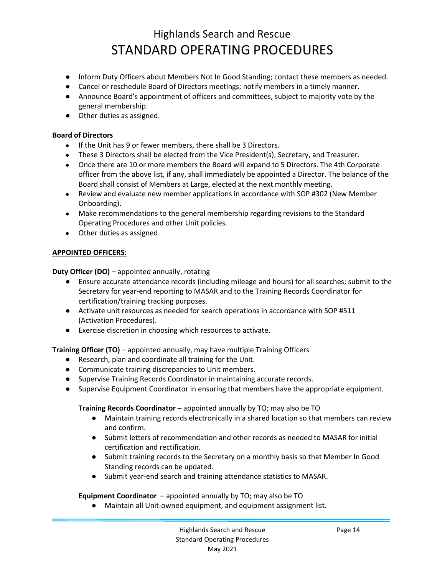- Inform Duty Officers about Members Not In Good Standing; contact these members as needed.
- Cancel or reschedule Board of Directors meetings; notify members in a timely manner.
- Announce Board's appointment of officers and committees, subject to majority vote by the general membership.
- Other duties as assigned.

#### **Board of Directors**

- If the Unit has 9 or fewer members, there shall be 3 Directors.
- These 3 Directors shall be elected from the Vice President(s), Secretary, and Treasurer.
- Once there are 10 or more members the Board will expand to 5 Directors. The 4th Corporate officer from the above list, if any, shall immediately be appointed a Director. The balance of the Board shall consist of Members at Large, elected at the next monthly meeting.
- Review and evaluate new member applications in accordance with SOP #302 (New Member Onboarding).
- Make recommendations to the general membership regarding revisions to the Standard Operating Procedures and other Unit policies.
- Other duties as assigned.

#### **APPOINTED OFFICERS:**

**Duty Officer (DO)** – appointed annually, rotating

- Ensure accurate attendance records (including mileage and hours) for all searches; submit to the Secretary for year-end reporting to MASAR and to the Training Records Coordinator for certification/training tracking purposes.
- Activate unit resources as needed for search operations in accordance with SOP #511 (Activation Procedures).
- Exercise discretion in choosing which resources to activate.

**Training Officer (TO)** – appointed annually, may have multiple Training Officers

- Research, plan and coordinate all training for the Unit.
- Communicate training discrepancies to Unit members.
- Supervise Training Records Coordinator in maintaining accurate records.
- Supervise Equipment Coordinator in ensuring that members have the appropriate equipment.

#### **Training Records Coordinator** – appointed annually by TO; may also be TO

- Maintain training records electronically in a shared location so that members can review and confirm.
- Submit letters of recommendation and other records as needed to MASAR for initial certification and rectification.
- Submit training records to the Secretary on a monthly basis so that Member In Good Standing records can be updated.
- Submit year-end search and training attendance statistics to MASAR.

**Equipment Coordinator** – appointed annually by TO; may also be TO

● Maintain all Unit-owned equipment, and equipment assignment list.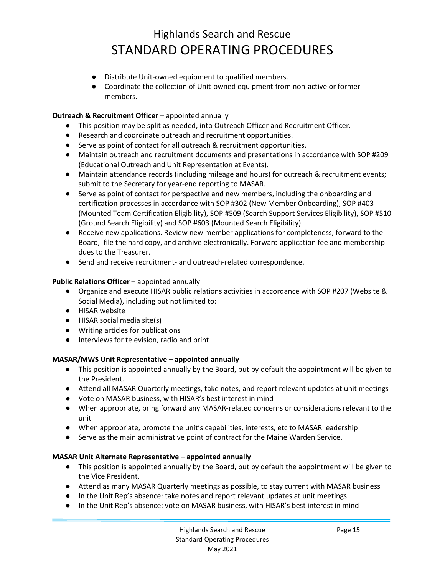- Distribute Unit-owned equipment to qualified members.
- Coordinate the collection of Unit-owned equipment from non-active or former members.

#### **Outreach & Recruitment Officer** – appointed annually

- This position may be split as needed, into Outreach Officer and Recruitment Officer.
- Research and coordinate outreach and recruitment opportunities.
- Serve as point of contact for all outreach & recruitment opportunities.
- Maintain outreach and recruitment documents and presentations in accordance with SOP #209 (Educational Outreach and Unit Representation at Events).
- Maintain attendance records (including mileage and hours) for outreach & recruitment events; submit to the Secretary for year-end reporting to MASAR.
- Serve as point of contact for perspective and new members, including the onboarding and certification processes in accordance with SOP #302 (New Member Onboarding), SOP #403 (Mounted Team Certification Eligibility), SOP #509 (Search Support Services Eligibility), SOP #510 (Ground Search Eligibility) and SOP #603 (Mounted Search Eligibility).
- Receive new applications. Review new member applications for completeness, forward to the Board, file the hard copy, and archive electronically. Forward application fee and membership dues to the Treasurer.
- Send and receive recruitment- and outreach-related correspondence.

### **Public Relations Officer** – appointed annually

- Organize and execute HISAR public relations activities in accordance with SOP #207 (Website & Social Media), including but not limited to:
- HISAR website
- HISAR social media site(s)
- Writing articles for publications
- Interviews for television, radio and print

## **MASAR/MWS Unit Representative – appointed annually**

- This position is appointed annually by the Board, but by default the appointment will be given to the President.
- Attend all MASAR Quarterly meetings, take notes, and report relevant updates at unit meetings
- Vote on MASAR business, with HISAR's best interest in mind
- When appropriate, bring forward any MASAR-related concerns or considerations relevant to the unit
- When appropriate, promote the unit's capabilities, interests, etc to MASAR leadership
- Serve as the main administrative point of contract for the Maine Warden Service.

#### **MASAR Unit Alternate Representative – appointed annually**

- This position is appointed annually by the Board, but by default the appointment will be given to the Vice President.
- Attend as many MASAR Quarterly meetings as possible, to stay current with MASAR business
- In the Unit Rep's absence: take notes and report relevant updates at unit meetings
- In the Unit Rep's absence: vote on MASAR business, with HISAR's best interest in mind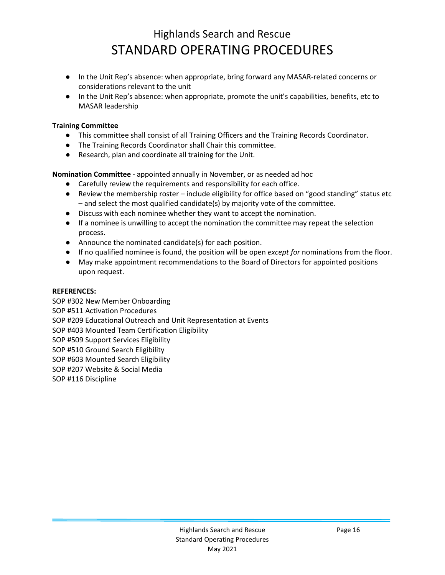- In the Unit Rep's absence: when appropriate, bring forward any MASAR-related concerns or considerations relevant to the unit
- In the Unit Rep's absence: when appropriate, promote the unit's capabilities, benefits, etc to MASAR leadership

## **Training Committee**

- This committee shall consist of all Training Officers and the Training Records Coordinator.
- The Training Records Coordinator shall Chair this committee.
- Research, plan and coordinate all training for the Unit.

**Nomination Committee** - appointed annually in November, or as needed ad hoc

- Carefully review the requirements and responsibility for each office.
- Review the membership roster include eligibility for office based on "good standing" status etc – and select the most qualified candidate(s) by majority vote of the committee.
- Discuss with each nominee whether they want to accept the nomination.
- If a nominee is unwilling to accept the nomination the committee may repeat the selection process.
- Announce the nominated candidate(s) for each position.
- If no qualified nominee is found, the position will be open *except for* nominations from the floor.
- May make appointment recommendations to the Board of Directors for appointed positions upon request.

## **REFERENCES:**

SOP #302 New Member Onboarding SOP #511 Activation Procedures SOP #209 Educational Outreach and Unit Representation at Events SOP #403 Mounted Team Certification Eligibility SOP #509 Support Services Eligibility SOP #510 Ground Search Eligibility SOP #603 Mounted Search Eligibility SOP #207 Website & Social Media SOP #116 Discipline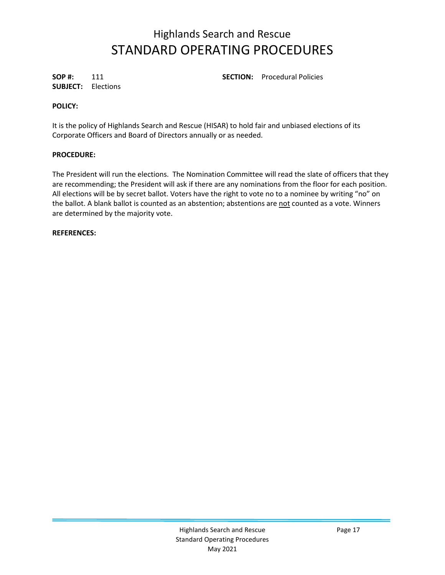**SUBJECT:** Elections

**SOP #:** 111 **SECTION:** Procedural Policies

### **POLICY:**

It is the policy of Highlands Search and Rescue (HISAR) to hold fair and unbiased elections of its Corporate Officers and Board of Directors annually or as needed.

#### **PROCEDURE:**

The President will run the elections. The Nomination Committee will read the slate of officers that they are recommending; the President will ask if there are any nominations from the floor for each position. All elections will be by secret ballot. Voters have the right to vote no to a nominee by writing "no" on the ballot. A blank ballot is counted as an abstention; abstentions are not counted as a vote. Winners are determined by the majority vote.

#### **REFERENCES:**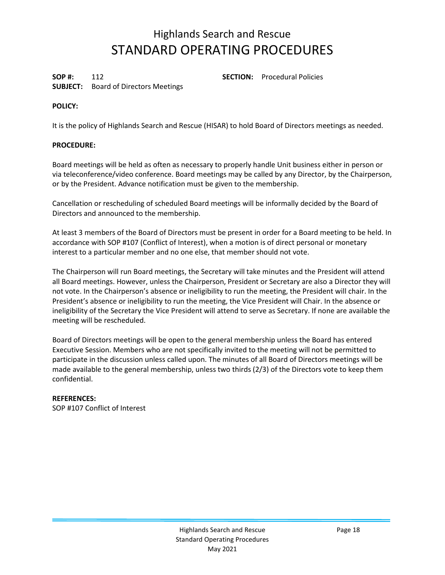**SUBJECT:** Board of Directors Meetings

**SOP #:** 112 **SECTION:** Procedural Policies

## **POLICY:**

It is the policy of Highlands Search and Rescue (HISAR) to hold Board of Directors meetings as needed.

## **PROCEDURE:**

Board meetings will be held as often as necessary to properly handle Unit business either in person or via teleconference/video conference. Board meetings may be called by any Director, by the Chairperson, or by the President. Advance notification must be given to the membership.

Cancellation or rescheduling of scheduled Board meetings will be informally decided by the Board of Directors and announced to the membership.

At least 3 members of the Board of Directors must be present in order for a Board meeting to be held. In accordance with SOP #107 (Conflict of Interest), when a motion is of direct personal or monetary interest to a particular member and no one else, that member should not vote.

The Chairperson will run Board meetings, the Secretary will take minutes and the President will attend all Board meetings. However, unless the Chairperson, President or Secretary are also a Director they will not vote. In the Chairperson's absence or ineligibility to run the meeting, the President will chair. In the President's absence or ineligibility to run the meeting, the Vice President will Chair. In the absence or ineligibility of the Secretary the Vice President will attend to serve as Secretary. If none are available the meeting will be rescheduled.

Board of Directors meetings will be open to the general membership unless the Board has entered Executive Session. Members who are not specifically invited to the meeting will not be permitted to participate in the discussion unless called upon. The minutes of all Board of Directors meetings will be made available to the general membership, unless two thirds (2/3) of the Directors vote to keep them confidential.

#### **REFERENCES:**

SOP #107 Conflict of Interest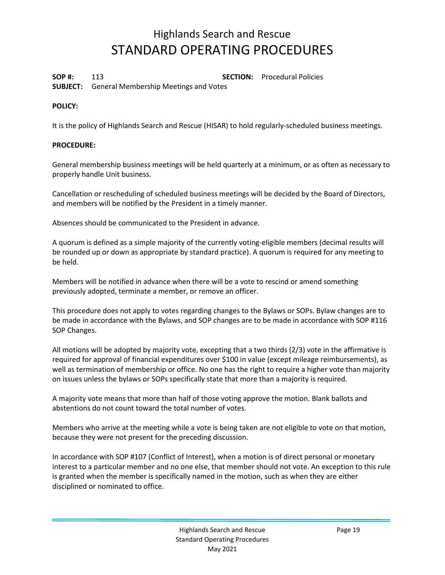**SOP #:** 113 **SECTION:** Procedural Policies

**SUBJECT:** General Membership Meetings and Votes

### **POLICY:**

It is the policy of Highlands Search and Rescue (HISAR) to hold regularly-scheduled business meetings.

#### **PROCEDURE:**

General membership business meetings will be held quarterly at a minimum, or as often as necessary to properly handle Unit business.

Cancellation or rescheduling of scheduled business meetings will be decided by the Board of Directors, and members will be notified by the President in a timely manner.

Absences should be communicated to the President in advance.

A quorum is defined as a simple majority of the currently voting-eligible members (decimal results will be rounded up or down as appropriate by standard practice). A quorum is required for any meeting to be held.

Members will be notified in advance when there will be a vote to rescind or amend something previously adopted, terminate a member, or remove an officer.

This procedure does not apply to votes regarding changes to the Bylaws or SOPs. Bylaw changes are to be made in accordance with the Bylaws, and SOP changes are to be made in accordance with SOP #116 SOP Changes.

All motions will be adopted by majority vote, excepting that a two thirds (2/3) vote in the affirmative is required for approval of financial expenditures over \$100 in value (except mileage reimbursements), as well as termination of membership or office. No one has the right to require a higher vote than majority on issues unless the bylaws or SOPs specifically state that more than a majority is required.

A majority vote means that more than half of those voting approve the motion. Blank ballots and abstentions do not count toward the total number of votes.

Members who arrive at the meeting while a vote is being taken are not eligible to vote on that motion, because they were not present for the preceding discussion.

In accordance with SOP #107 (Conflict of Interest), when a motion is of direct personal or monetary interest to a particular member and no one else, that member should not vote. An exception to this rule is granted when the member is specifically named in the motion, such as when they are either disciplined or nominated to office.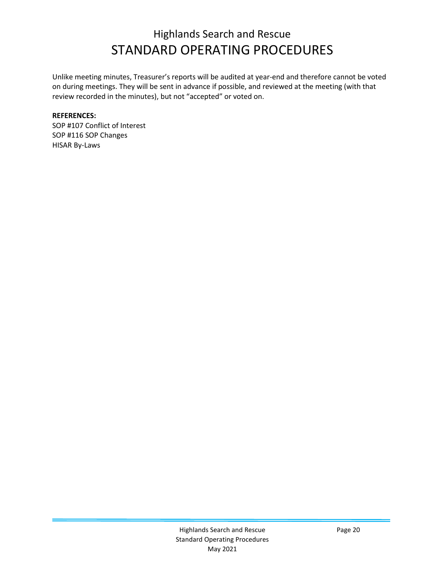Unlike meeting minutes, Treasurer's reports will be audited at year-end and therefore cannot be voted on during meetings. They will be sent in advance if possible, and reviewed at the meeting (with that review recorded in the minutes), but not "accepted" or voted on.

### **REFERENCES:**

SOP #107 Conflict of Interest SOP #116 SOP Changes HISAR By-Laws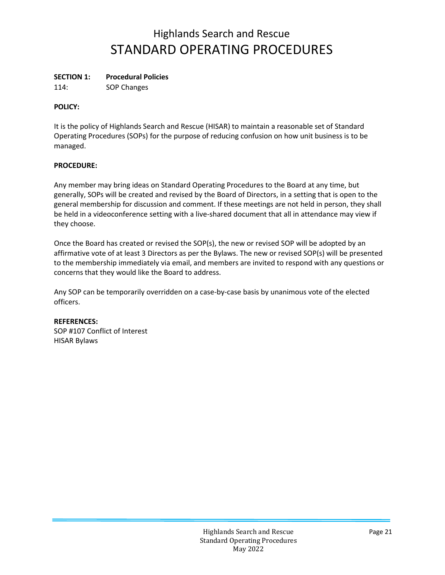### **SECTION 1: Procedural Policies**

114: SOP Changes

### **POLICY:**

It is the policy of Highlands Search and Rescue (HISAR) to maintain a reasonable set of Standard Operating Procedures (SOPs) for the purpose of reducing confusion on how unit business is to be managed.

### **PROCEDURE:**

Any member may bring ideas on Standard Operating Procedures to the Board at any time, but generally, SOPs will be created and revised by the Board of Directors, in a setting that is open to the general membership for discussion and comment. If these meetings are not held in person, they shall be held in a videoconference setting with a live-shared document that all in attendance may view if they choose.

Once the Board has created or revised the SOP(s), the new or revised SOP will be adopted by an affirmative vote of at least 3 Directors as per the Bylaws. The new or revised SOP(s) will be presented to the membership immediately via email, and members are invited to respond with any questions or concerns that they would like the Board to address.

Any SOP can be temporarily overridden on a case-by-case basis by unanimous vote of the elected officers.

#### **REFERENCES:**

SOP #107 Conflict of Interest HISAR Bylaws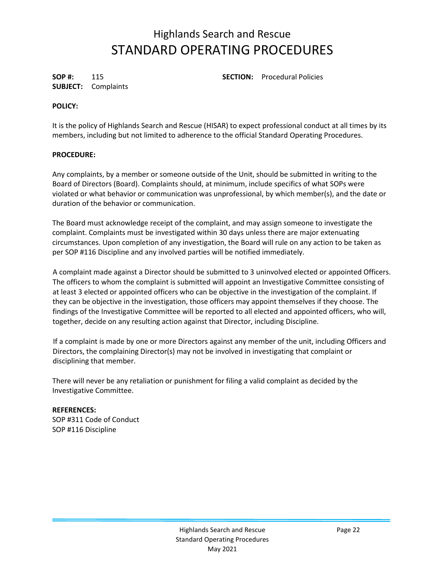**SUBJECT:** Complaints

**SOP #:** 115 **SECTION:** Procedural Policies

### **POLICY:**

It is the policy of Highlands Search and Rescue (HISAR) to expect professional conduct at all times by its members, including but not limited to adherence to the official Standard Operating Procedures.

### **PROCEDURE:**

Any complaints, by a member or someone outside of the Unit, should be submitted in writing to the Board of Directors (Board). Complaints should, at minimum, include specifics of what SOPs were violated or what behavior or communication was unprofessional, by which member(s), and the date or duration of the behavior or communication.

The Board must acknowledge receipt of the complaint, and may assign someone to investigate the complaint. Complaints must be investigated within 30 days unless there are major extenuating circumstances. Upon completion of any investigation, the Board will rule on any action to be taken as per SOP #116 Discipline and any involved parties will be notified immediately.

A complaint made against a Director should be submitted to 3 uninvolved elected or appointed Officers. The officers to whom the complaint is submitted will appoint an Investigative Committee consisting of at least 3 elected or appointed officers who can be objective in the investigation of the complaint. If they can be objective in the investigation, those officers may appoint themselves if they choose. The findings of the Investigative Committee will be reported to all elected and appointed officers, who will, together, decide on any resulting action against that Director, including Discipline.

If a complaint is made by one or more Directors against any member of the unit, including Officers and Directors, the complaining Director(s) may not be involved in investigating that complaint or disciplining that member.

There will never be any retaliation or punishment for filing a valid complaint as decided by the Investigative Committee.

#### **REFERENCES:** SOP #311 Code of Conduct SOP #116 Discipline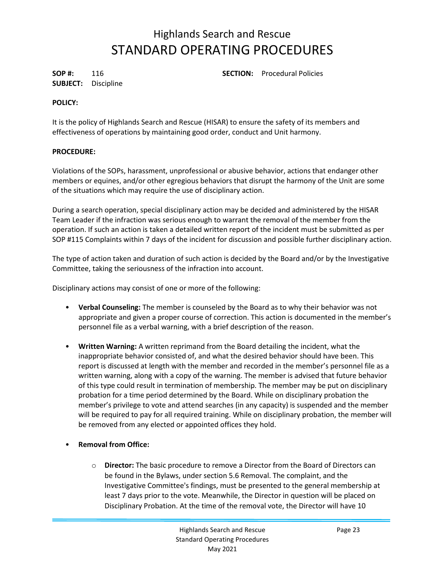**SUBJECT:** Discipline

**SOP #:** 116 **SECTION:** Procedural Policies

## **POLICY:**

It is the policy of Highlands Search and Rescue (HISAR) to ensure the safety of its members and effectiveness of operations by maintaining good order, conduct and Unit harmony.

### **PROCEDURE:**

Violations of the SOPs, harassment, unprofessional or abusive behavior, actions that endanger other members or equines, and/or other egregious behaviors that disrupt the harmony of the Unit are some of the situations which may require the use of disciplinary action.

During a search operation, special disciplinary action may be decided and administered by the HISAR Team Leader if the infraction was serious enough to warrant the removal of the member from the operation. If such an action is taken a detailed written report of the incident must be submitted as per SOP #115 Complaints within 7 days of the incident for discussion and possible further disciplinary action.

The type of action taken and duration of such action is decided by the Board and/or by the Investigative Committee, taking the seriousness of the infraction into account.

Disciplinary actions may consist of one or more of the following:

- **Verbal Counseling:** The member is counseled by the Board as to why their behavior was not appropriate and given a proper course of correction. This action is documented in the member's personnel file as a verbal warning, with a brief description of the reason.
- **Written Warning:** A written reprimand from the Board detailing the incident, what the inappropriate behavior consisted of, and what the desired behavior should have been. This report is discussed at length with the member and recorded in the member's personnel file as a written warning, along with a copy of the warning. The member is advised that future behavior of this type could result in termination of membership. The member may be put on disciplinary probation for a time period determined by the Board. While on disciplinary probation the member's privilege to vote and attend searches (in any capacity) is suspended and the member will be required to pay for all required training. While on disciplinary probation, the member will be removed from any elected or appointed offices they hold.
- **Removal from Office:** 
	- o **Director:** The basic procedure to remove a Director from the Board of Directors can be found in the Bylaws, under section 5.6 Removal. The complaint, and the Investigative Committee's findings, must be presented to the general membership at least 7 days prior to the vote. Meanwhile, the Director in question will be placed on Disciplinary Probation. At the time of the removal vote, the Director will have 10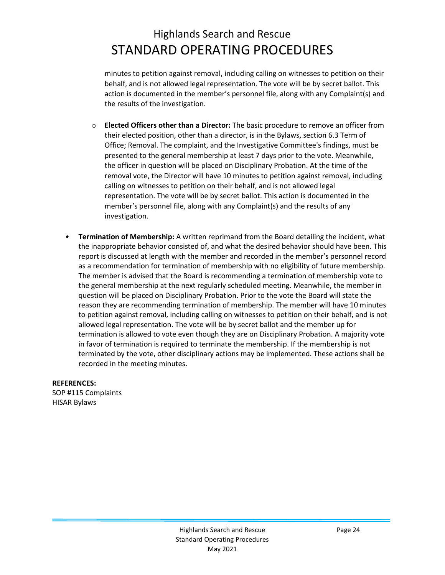minutes to petition against removal, including calling on witnesses to petition on their behalf, and is not allowed legal representation. The vote will be by secret ballot. This action is documented in the member's personnel file, along with any Complaint(s) and the results of the investigation.

- o **Elected Officers other than a Director:** The basic procedure to remove an officer from their elected position, other than a director, is in the Bylaws, section 6.3 Term of Office; Removal. The complaint, and the Investigative Committee's findings, must be presented to the general membership at least 7 days prior to the vote. Meanwhile, the officer in question will be placed on Disciplinary Probation. At the time of the removal vote, the Director will have 10 minutes to petition against removal, including calling on witnesses to petition on their behalf, and is not allowed legal representation. The vote will be by secret ballot. This action is documented in the member's personnel file, along with any Complaint(s) and the results of any investigation.
- **Termination of Membership:** A written reprimand from the Board detailing the incident, what the inappropriate behavior consisted of, and what the desired behavior should have been. This report is discussed at length with the member and recorded in the member's personnel record as a recommendation for termination of membership with no eligibility of future membership. The member is advised that the Board is recommending a termination of membership vote to the general membership at the next regularly scheduled meeting. Meanwhile, the member in question will be placed on Disciplinary Probation. Prior to the vote the Board will state the reason they are recommending termination of membership. The member will have 10 minutes to petition against removal, including calling on witnesses to petition on their behalf, and is not allowed legal representation. The vote will be by secret ballot and the member up for termination is allowed to vote even though they are on Disciplinary Probation. A majority vote in favor of termination is required to terminate the membership. If the membership is not terminated by the vote, other disciplinary actions may be implemented. These actions shall be recorded in the meeting minutes.

**REFERENCES:**

SOP #115 Complaints HISAR Bylaws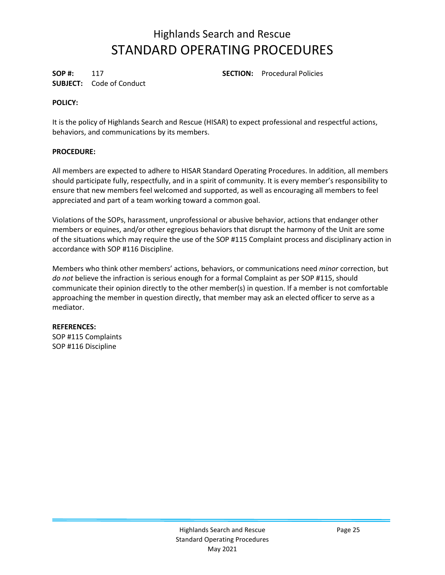**SUBJECT:** Code of Conduct

**SOP #:** 117 **SECTION:** Procedural Policies

## **POLICY:**

It is the policy of Highlands Search and Rescue (HISAR) to expect professional and respectful actions, behaviors, and communications by its members.

## **PROCEDURE:**

All members are expected to adhere to HISAR Standard Operating Procedures. In addition, all members should participate fully, respectfully, and in a spirit of community. It is every member's responsibility to ensure that new members feel welcomed and supported, as well as encouraging all members to feel appreciated and part of a team working toward a common goal.

Violations of the SOPs, harassment, unprofessional or abusive behavior, actions that endanger other members or equines, and/or other egregious behaviors that disrupt the harmony of the Unit are some of the situations which may require the use of the SOP #115 Complaint process and disciplinary action in accordance with SOP #116 Discipline.

Members who think other members' actions, behaviors, or communications need *minor* correction, but *do not* believe the infraction is serious enough for a formal Complaint as per SOP #115, should communicate their opinion directly to the other member(s) in question. If a member is not comfortable approaching the member in question directly, that member may ask an elected officer to serve as a mediator.

## **REFERENCES:**

SOP #115 Complaints SOP #116 Discipline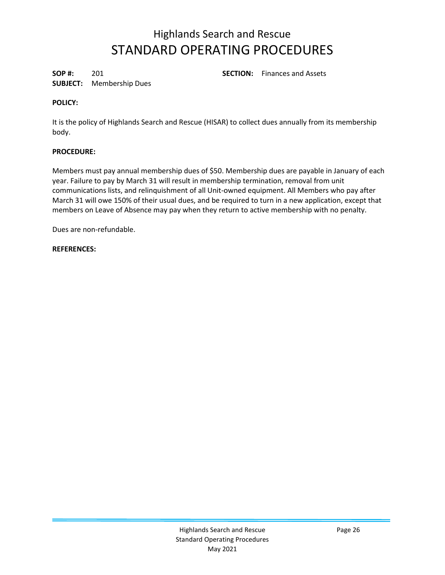**SUBJECT:** Membership Dues

**SOP #:** 201 **SECTION:** Finances and Assets

## **POLICY:**

It is the policy of Highlands Search and Rescue (HISAR) to collect dues annually from its membership body.

## **PROCEDURE:**

Members must pay annual membership dues of \$50. Membership dues are payable in January of each year. Failure to pay by March 31 will result in membership termination, removal from unit communications lists, and relinquishment of all Unit-owned equipment. All Members who pay after March 31 will owe 150% of their usual dues, and be required to turn in a new application, except that members on Leave of Absence may pay when they return to active membership with no penalty.

Dues are non-refundable.

### **REFERENCES:**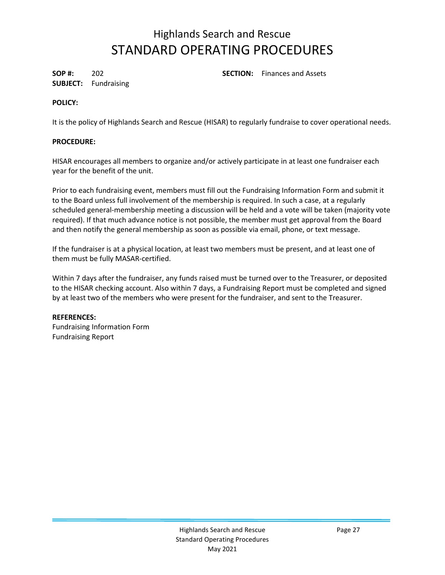**SUBJECT:** Fundraising

**SOP #:** 202 **SECTION:** Finances and Assets

## **POLICY:**

It is the policy of Highlands Search and Rescue (HISAR) to regularly fundraise to cover operational needs.

## **PROCEDURE:**

HISAR encourages all members to organize and/or actively participate in at least one fundraiser each year for the benefit of the unit.

Prior to each fundraising event, members must fill out the Fundraising Information Form and submit it to the Board unless full involvement of the membership is required. In such a case, at a regularly scheduled general-membership meeting a discussion will be held and a vote will be taken (majority vote required). If that much advance notice is not possible, the member must get approval from the Board and then notify the general membership as soon as possible via email, phone, or text message.

If the fundraiser is at a physical location, at least two members must be present, and at least one of them must be fully MASAR-certified.

Within 7 days after the fundraiser, any funds raised must be turned over to the Treasurer, or deposited to the HISAR checking account. Also within 7 days, a Fundraising Report must be completed and signed by at least two of the members who were present for the fundraiser, and sent to the Treasurer.

## **REFERENCES:**

Fundraising Information Form Fundraising Report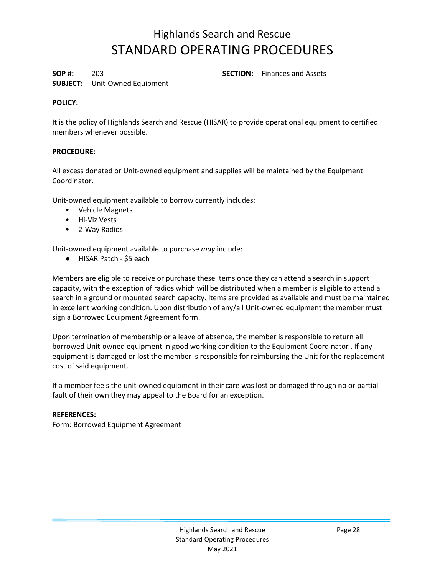**SOP #:** 203 **SECTION:** Finances and Assets

## **SUBJECT:** Unit-Owned Equipment

## **POLICY:**

It is the policy of Highlands Search and Rescue (HISAR) to provide operational equipment to certified members whenever possible.

## **PROCEDURE:**

All excess donated or Unit-owned equipment and supplies will be maintained by the Equipment Coordinator.

Unit-owned equipment available to borrow currently includes:

- Vehicle Magnets
- Hi-Viz Vests
- 2-Way Radios

Unit-owned equipment available to purchase *may* include:

● HISAR Patch - \$5 each

Members are eligible to receive or purchase these items once they can attend a search in support capacity, with the exception of radios which will be distributed when a member is eligible to attend a search in a ground or mounted search capacity. Items are provided as available and must be maintained in excellent working condition. Upon distribution of any/all Unit-owned equipment the member must sign a Borrowed Equipment Agreement form.

Upon termination of membership or a leave of absence, the member is responsible to return all borrowed Unit-owned equipment in good working condition to the Equipment Coordinator . If any equipment is damaged or lost the member is responsible for reimbursing the Unit for the replacement cost of said equipment.

If a member feels the unit-owned equipment in their care was lost or damaged through no or partial fault of their own they may appeal to the Board for an exception.

#### **REFERENCES:**

Form: Borrowed Equipment Agreement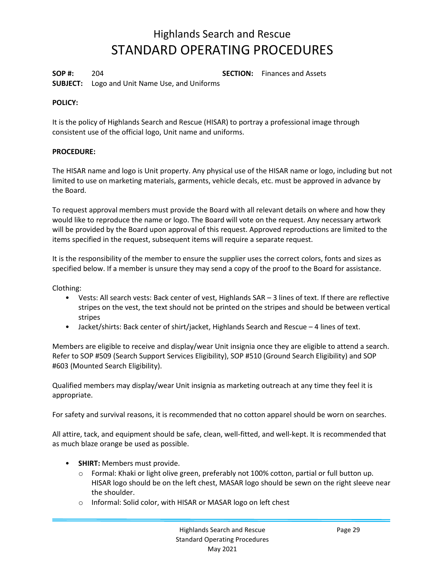**SOP #:** 204 **SECTION:** Finances and Assets **SUBJECT:** Logo and Unit Name Use, and Uniforms

### **POLICY:**

It is the policy of Highlands Search and Rescue (HISAR) to portray a professional image through consistent use of the official logo, Unit name and uniforms.

### **PROCEDURE:**

The HISAR name and logo is Unit property. Any physical use of the HISAR name or logo, including but not limited to use on marketing materials, garments, vehicle decals, etc. must be approved in advance by the Board.

To request approval members must provide the Board with all relevant details on where and how they would like to reproduce the name or logo. The Board will vote on the request. Any necessary artwork will be provided by the Board upon approval of this request. Approved reproductions are limited to the items specified in the request, subsequent items will require a separate request.

It is the responsibility of the member to ensure the supplier uses the correct colors, fonts and sizes as specified below. If a member is unsure they may send a copy of the proof to the Board for assistance.

Clothing:

- Vests: All search vests: Back center of vest, Highlands SAR 3 lines of text. If there are reflective stripes on the vest, the text should not be printed on the stripes and should be between vertical stripes
- Jacket/shirts: Back center of shirt/jacket, Highlands Search and Rescue 4 lines of text.

Members are eligible to receive and display/wear Unit insignia once they are eligible to attend a search. Refer to SOP #509 (Search Support Services Eligibility), SOP #510 (Ground Search Eligibility) and SOP #603 (Mounted Search Eligibility).

Qualified members may display/wear Unit insignia as marketing outreach at any time they feel it is appropriate.

For safety and survival reasons, it is recommended that no cotton apparel should be worn on searches.

All attire, tack, and equipment should be safe, clean, well-fitted, and well-kept. It is recommended that as much blaze orange be used as possible.

- **SHIRT:** Members must provide.
	- o Formal: Khaki or light olive green, preferably not 100% cotton, partial or full button up. HISAR logo should be on the left chest, MASAR logo should be sewn on the right sleeve near the shoulder.
	- o Informal: Solid color, with HISAR or MASAR logo on left chest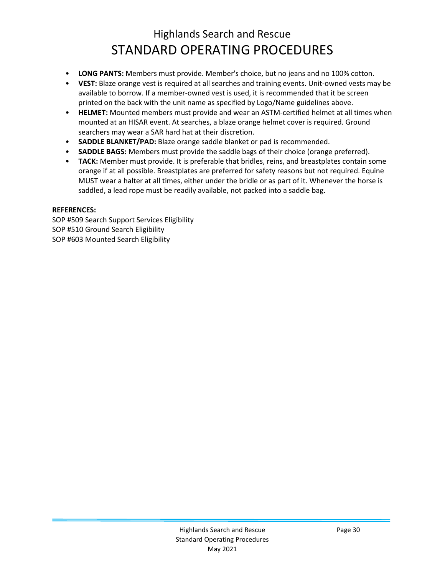- **LONG PANTS:** Members must provide. Member's choice, but no jeans and no 100% cotton.
- **VEST:** Blaze orange vest is required at all searches and training events. Unit-owned vests may be available to borrow. If a member-owned vest is used, it is recommended that it be screen printed on the back with the unit name as specified by Logo/Name guidelines above.
- **HELMET:** Mounted members must provide and wear an ASTM-certified helmet at all times when mounted at an HISAR event. At searches, a blaze orange helmet cover is required. Ground searchers may wear a SAR hard hat at their discretion.
- **SADDLE BLANKET/PAD:** Blaze orange saddle blanket or pad is recommended.
- **SADDLE BAGS:** Members must provide the saddle bags of their choice (orange preferred).
- **TACK:** Member must provide. It is preferable that bridles, reins, and breastplates contain some orange if at all possible. Breastplates are preferred for safety reasons but not required. Equine MUST wear a halter at all times, either under the bridle or as part of it. Whenever the horse is saddled, a lead rope must be readily available, not packed into a saddle bag.

### **REFERENCES:**

SOP #509 Search Support Services Eligibility SOP #510 Ground Search Eligibility SOP #603 Mounted Search Eligibility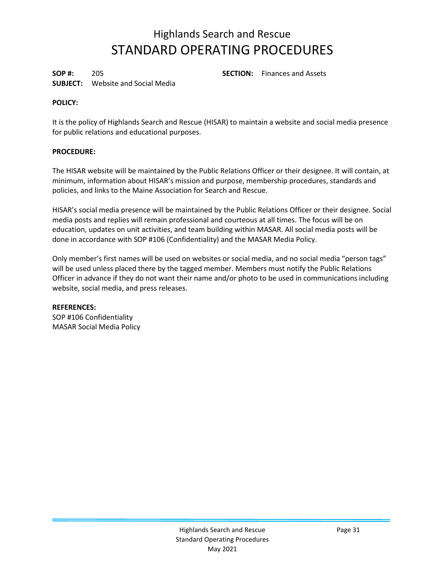**SOP #:** 205 **SECTION:** Finances and Assets **SUBJECT:** Website and Social Media

## **POLICY:**

It is the policy of Highlands Search and Rescue (HISAR) to maintain a website and social media presence for public relations and educational purposes.

### **PROCEDURE:**

The HISAR website will be maintained by the Public Relations Officer or their designee. It will contain, at minimum, information about HISAR's mission and purpose, membership procedures, standards and policies, and links to the Maine Association for Search and Rescue.

HISAR's social media presence will be maintained by the Public Relations Officer or their designee. Social media posts and replies will remain professional and courteous at all times. The focus will be on education, updates on unit activities, and team building within MASAR. All social media posts will be done in accordance with SOP #106 (Confidentiality) and the MASAR Media Policy.

Only member's first names will be used on websites or social media, and no social media "person tags" will be used unless placed there by the tagged member. Members must notify the Public Relations Officer in advance if they do not want their name and/or photo to be used in communications including website, social media, and press releases.

#### **REFERENCES:**

SOP #106 Confidentiality MASAR Social Media Policy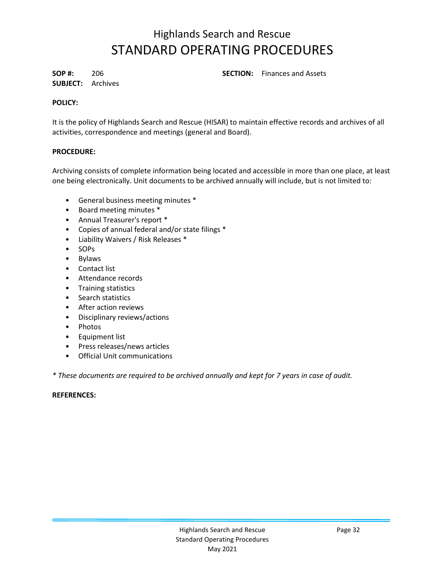**SUBJECT:** Archives

**SOP #:** 206 **SECTION:** Finances and Assets

## **POLICY:**

It is the policy of Highlands Search and Rescue (HISAR) to maintain effective records and archives of all activities, correspondence and meetings (general and Board).

### **PROCEDURE:**

Archiving consists of complete information being located and accessible in more than one place, at least one being electronically. Unit documents to be archived annually will include, but is not limited to:

- General business meeting minutes \*
- Board meeting minutes \*
- Annual Treasurer's report \*
- Copies of annual federal and/or state filings \*
- Liability Waivers / Risk Releases \*
- SOPs
- Bylaws
- Contact list
- Attendance records
- Training statistics
- Search statistics
- After action reviews
- Disciplinary reviews/actions
- Photos
- Equipment list
- Press releases/news articles
- Official Unit communications

*\* These documents are required to be archived annually and kept for 7 years in case of audit.*

#### **REFERENCES:**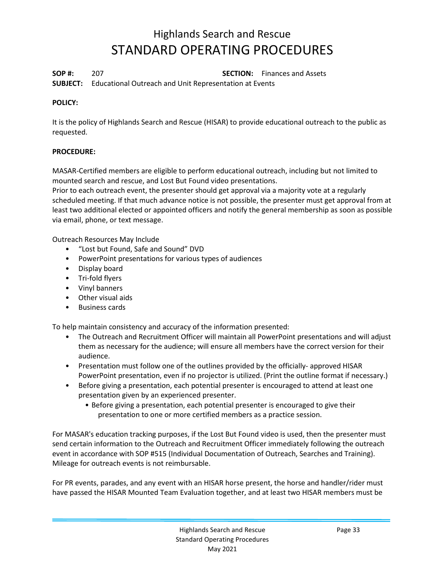**SOP #:** 207 **SECTION:** Finances and Assets **SUBJECT:** Educational Outreach and Unit Representation at Events

### **POLICY:**

It is the policy of Highlands Search and Rescue (HISAR) to provide educational outreach to the public as requested.

## **PROCEDURE:**

MASAR-Certified members are eligible to perform educational outreach, including but not limited to mounted search and rescue, and Lost But Found video presentations.

Prior to each outreach event, the presenter should get approval via a majority vote at a regularly scheduled meeting. If that much advance notice is not possible, the presenter must get approval from at least two additional elected or appointed officers and notify the general membership as soon as possible via email, phone, or text message.

Outreach Resources May Include

- "Lost but Found, Safe and Sound" DVD
- PowerPoint presentations for various types of audiences
- Display board
- Tri-fold flyers
- Vinyl banners
- Other visual aids
- Business cards

To help maintain consistency and accuracy of the information presented:

- The Outreach and Recruitment Officer will maintain all PowerPoint presentations and will adjust them as necessary for the audience; will ensure all members have the correct version for their audience.
- Presentation must follow one of the outlines provided by the officially- approved HISAR PowerPoint presentation, even if no projector is utilized. (Print the outline format if necessary.)
- Before giving a presentation, each potential presenter is encouraged to attend at least one presentation given by an experienced presenter.
	- Before giving a presentation, each potential presenter is encouraged to give their presentation to one or more certified members as a practice session.

For MASAR's education tracking purposes, if the Lost But Found video is used, then the presenter must send certain information to the Outreach and Recruitment Officer immediately following the outreach event in accordance with SOP #515 (Individual Documentation of Outreach, Searches and Training). Mileage for outreach events is not reimbursable.

For PR events, parades, and any event with an HISAR horse present, the horse and handler/rider must have passed the HISAR Mounted Team Evaluation together, and at least two HISAR members must be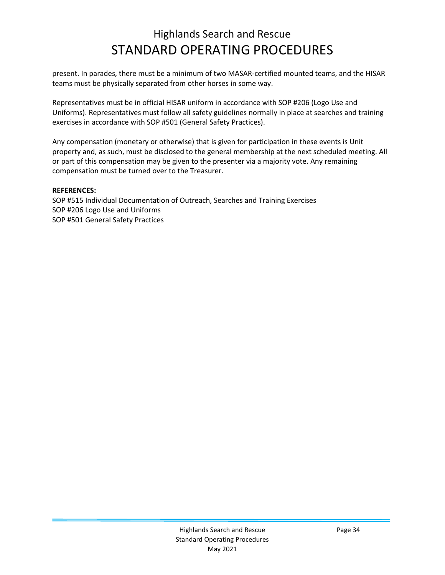present. In parades, there must be a minimum of two MASAR-certified mounted teams, and the HISAR teams must be physically separated from other horses in some way.

Representatives must be in official HISAR uniform in accordance with SOP #206 (Logo Use and Uniforms). Representatives must follow all safety guidelines normally in place at searches and training exercises in accordance with SOP #501 (General Safety Practices).

Any compensation (monetary or otherwise) that is given for participation in these events is Unit property and, as such, must be disclosed to the general membership at the next scheduled meeting. All or part of this compensation may be given to the presenter via a majority vote. Any remaining compensation must be turned over to the Treasurer.

#### **REFERENCES:**

SOP #515 Individual Documentation of Outreach, Searches and Training Exercises SOP #206 Logo Use and Uniforms SOP #501 General Safety Practices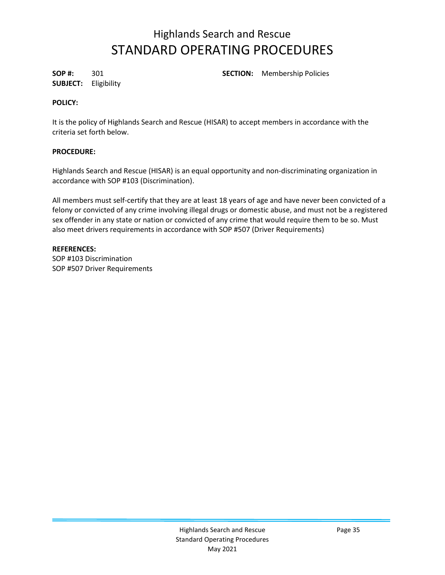**SUBJECT:** Eligibility

**SOP #:** 301 **SECTION:** Membership Policies

## **POLICY:**

It is the policy of Highlands Search and Rescue (HISAR) to accept members in accordance with the criteria set forth below.

## **PROCEDURE:**

Highlands Search and Rescue (HISAR) is an equal opportunity and non-discriminating organization in accordance with SOP #103 (Discrimination).

All members must self-certify that they are at least 18 years of age and have never been convicted of a felony or convicted of any crime involving illegal drugs or domestic abuse, and must not be a registered sex offender in any state or nation or convicted of any crime that would require them to be so. Must also meet drivers requirements in accordance with SOP #507 (Driver Requirements)

## **REFERENCES:**

SOP #103 Discrimination SOP #507 Driver Requirements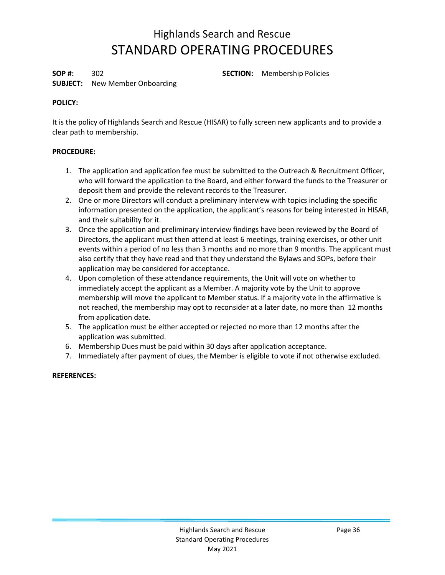**SOP #:** 302 **SECTION:** Membership Policies

## **SUBJECT:** New Member Onboarding

## **POLICY:**

It is the policy of Highlands Search and Rescue (HISAR) to fully screen new applicants and to provide a clear path to membership.

## **PROCEDURE:**

- 1. The application and application fee must be submitted to the Outreach & Recruitment Officer, who will forward the application to the Board, and either forward the funds to the Treasurer or deposit them and provide the relevant records to the Treasurer.
- 2. One or more Directors will conduct a preliminary interview with topics including the specific information presented on the application, the applicant's reasons for being interested in HISAR, and their suitability for it.
- 3. Once the application and preliminary interview findings have been reviewed by the Board of Directors, the applicant must then attend at least 6 meetings, training exercises, or other unit events within a period of no less than 3 months and no more than 9 months. The applicant must also certify that they have read and that they understand the Bylaws and SOPs, before their application may be considered for acceptance.
- 4. Upon completion of these attendance requirements, the Unit will vote on whether to immediately accept the applicant as a Member. A majority vote by the Unit to approve membership will move the applicant to Member status. If a majority vote in the affirmative is not reached, the membership may opt to reconsider at a later date, no more than 12 months from application date.
- 5. The application must be either accepted or rejected no more than 12 months after the application was submitted.
- 6. Membership Dues must be paid within 30 days after application acceptance.
- 7. Immediately after payment of dues, the Member is eligible to vote if not otherwise excluded.

## **REFERENCES:**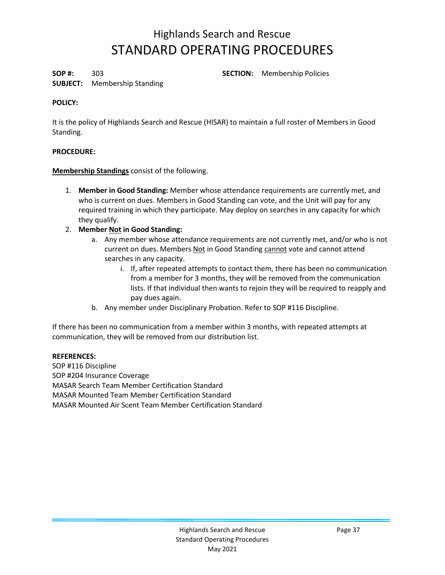**SOP #:** 303 **SECTION:** Membership Policies

### **SUBJECT:** Membership Standing

#### **POLICY:**

It is the policy of Highlands Search and Rescue (HISAR) to maintain a full roster of Members in Good Standing.

### **PROCEDURE:**

**Membership Standings** consist of the following.

- 1. **Member in Good Standing:** Member whose attendance requirements are currently met, and who is current on dues. Members in Good Standing can vote, and the Unit will pay for any required training in which they participate. May deploy on searches in any capacity for which they qualify.
- 2. **Member Not in Good Standing:**
	- a. Any member whose attendance requirements are not currently met, and/or who is not current on dues. Members Not in Good Standing cannot vote and cannot attend searches in any capacity.
		- i. If, after repeated attempts to contact them, there has been no communication from a member for 3 months, they will be removed from the communication lists. If that individual then wants to rejoin they will be required to reapply and pay dues again.
	- b. Any member under Disciplinary Probation. Refer to SOP #116 Discipline.

If there has been no communication from a member within 3 months, with repeated attempts at communication, they will be removed from our distribution list.

#### **REFERENCES:**

SOP #116 Discipline SOP #204 Insurance Coverage MASAR Search Team Member Certification Standard MASAR Mounted Team Member Certification Standard MASAR Mounted Air Scent Team Member Certification Standard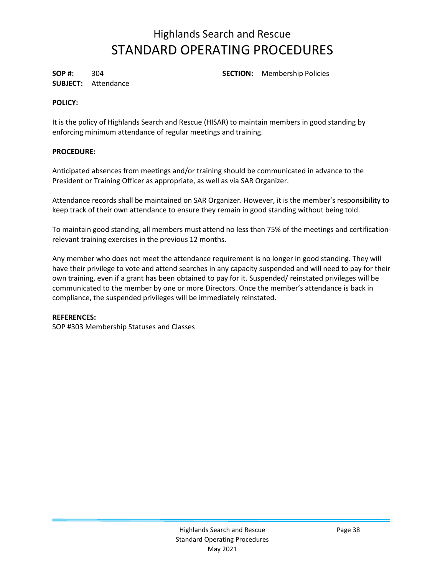**SUBJECT:** Attendance

**SOP #:** 304 **SECTION:** Membership Policies

#### **POLICY:**

It is the policy of Highlands Search and Rescue (HISAR) to maintain members in good standing by enforcing minimum attendance of regular meetings and training.

### **PROCEDURE:**

Anticipated absences from meetings and/or training should be communicated in advance to the President or Training Officer as appropriate, as well as via SAR Organizer.

Attendance records shall be maintained on SAR Organizer. However, it is the member's responsibility to keep track of their own attendance to ensure they remain in good standing without being told.

To maintain good standing, all members must attend no less than 75% of the meetings and certificationrelevant training exercises in the previous 12 months.

Any member who does not meet the attendance requirement is no longer in good standing. They will have their privilege to vote and attend searches in any capacity suspended and will need to pay for their own training, even if a grant has been obtained to pay for it. Suspended/ reinstated privileges will be communicated to the member by one or more Directors. Once the member's attendance is back in compliance, the suspended privileges will be immediately reinstated.

#### **REFERENCES:**

SOP #303 Membership Statuses and Classes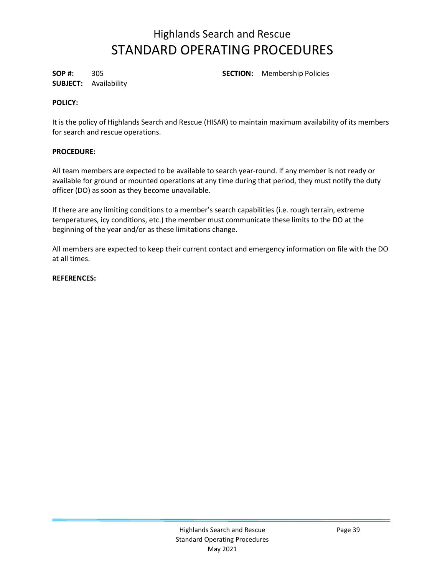**SUBJECT:** Availability

**SOP #:** 305 **SECTION:** Membership Policies

#### **POLICY:**

It is the policy of Highlands Search and Rescue (HISAR) to maintain maximum availability of its members for search and rescue operations.

#### **PROCEDURE:**

All team members are expected to be available to search year-round. If any member is not ready or available for ground or mounted operations at any time during that period, they must notify the duty officer (DO) as soon as they become unavailable.

If there are any limiting conditions to a member's search capabilities (i.e. rough terrain, extreme temperatures, icy conditions, etc.) the member must communicate these limits to the DO at the beginning of the year and/or as these limitations change.

All members are expected to keep their current contact and emergency information on file with the DO at all times.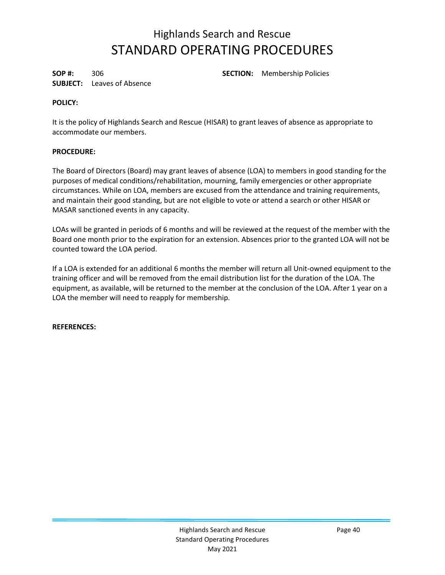**SUBJECT:** Leaves of Absence

**SOP #:** 306 **SECTION:** Membership Policies

#### **POLICY:**

It is the policy of Highlands Search and Rescue (HISAR) to grant leaves of absence as appropriate to accommodate our members.

### **PROCEDURE:**

The Board of Directors (Board) may grant leaves of absence (LOA) to members in good standing for the purposes of medical conditions/rehabilitation, mourning, family emergencies or other appropriate circumstances. While on LOA, members are excused from the attendance and training requirements, and maintain their good standing, but are not eligible to vote or attend a search or other HISAR or MASAR sanctioned events in any capacity.

LOAs will be granted in periods of 6 months and will be reviewed at the request of the member with the Board one month prior to the expiration for an extension. Absences prior to the granted LOA will not be counted toward the LOA period.

If a LOA is extended for an additional 6 months the member will return all Unit-owned equipment to the training officer and will be removed from the email distribution list for the duration of the LOA. The equipment, as available, will be returned to the member at the conclusion of the LOA. After 1 year on a LOA the member will need to reapply for membership.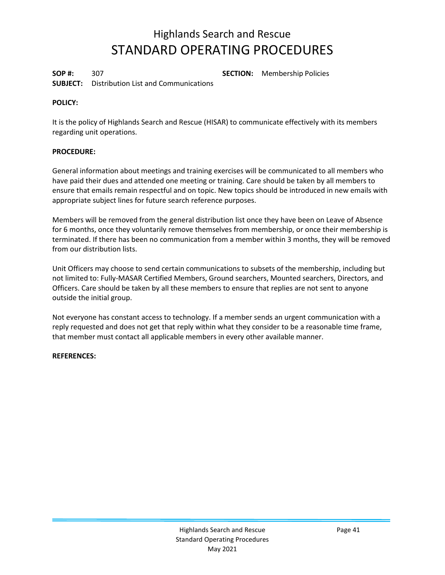**SOP #:** 307 **SECTION:** Membership Policies **SUBJECT:** Distribution List and Communications

#### **POLICY:**

It is the policy of Highlands Search and Rescue (HISAR) to communicate effectively with its members regarding unit operations.

#### **PROCEDURE:**

General information about meetings and training exercises will be communicated to all members who have paid their dues and attended one meeting or training. Care should be taken by all members to ensure that emails remain respectful and on topic. New topics should be introduced in new emails with appropriate subject lines for future search reference purposes.

Members will be removed from the general distribution list once they have been on Leave of Absence for 6 months, once they voluntarily remove themselves from membership, or once their membership is terminated. If there has been no communication from a member within 3 months, they will be removed from our distribution lists.

Unit Officers may choose to send certain communications to subsets of the membership, including but not limited to: Fully-MASAR Certified Members, Ground searchers, Mounted searchers, Directors, and Officers. Care should be taken by all these members to ensure that replies are not sent to anyone outside the initial group.

Not everyone has constant access to technology. If a member sends an urgent communication with a reply requested and does not get that reply within what they consider to be a reasonable time frame, that member must contact all applicable members in every other available manner.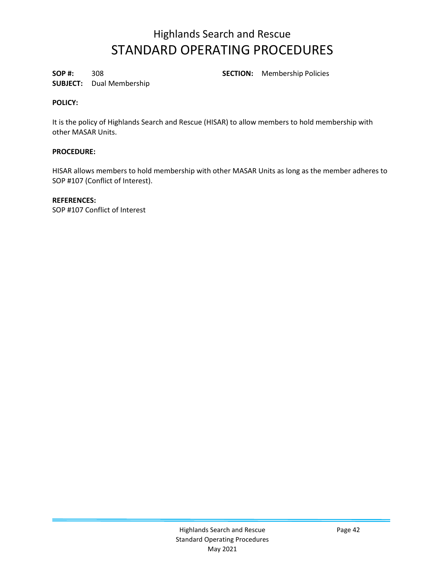**SOP #:** 308 **SECTION:** Membership Policies

### **SUBJECT:** Dual Membership

#### **POLICY:**

It is the policy of Highlands Search and Rescue (HISAR) to allow members to hold membership with other MASAR Units.

### **PROCEDURE:**

HISAR allows members to hold membership with other MASAR Units as long as the member adheres to SOP #107 (Conflict of Interest).

#### **REFERENCES:**

SOP #107 Conflict of Interest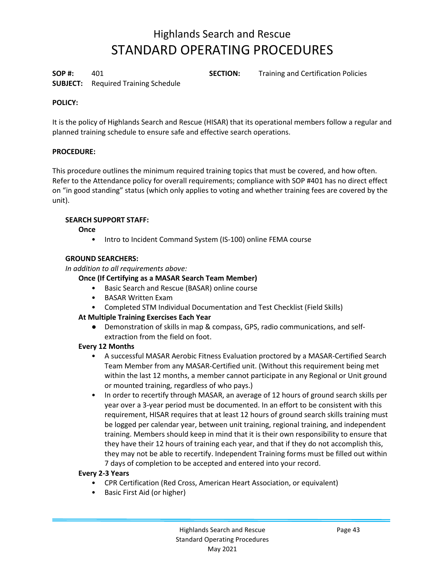**SUBJECT:** Required Training Schedule

**SOP #:** 401 **SECTION:** Training and Certification Policies

### **POLICY:**

It is the policy of Highlands Search and Rescue (HISAR) that its operational members follow a regular and planned training schedule to ensure safe and effective search operations.

#### **PROCEDURE:**

This procedure outlines the minimum required training topics that must be covered, and how often. Refer to the Attendance policy for overall requirements; compliance with SOP #401 has no direct effect on "in good standing" status (which only applies to voting and whether training fees are covered by the unit).

#### **SEARCH SUPPORT STAFF:**

**Once**

• Intro to Incident Command System (IS-100) online FEMA course

#### **GROUND SEARCHERS:**

*In addition to all requirements above:* 

#### **Once (If Certifying as a MASAR Search Team Member)**

- Basic Search and Rescue (BASAR) online course
- BASAR Written Exam
- Completed STM Individual Documentation and Test Checklist (Field Skills)

#### **At Multiple Training Exercises Each Year**

● Demonstration of skills in map & compass, GPS, radio communications, and selfextraction from the field on foot.

#### **Every 12 Months**

- A successful MASAR Aerobic Fitness Evaluation proctored by a MASAR-Certified Search Team Member from any MASAR-Certified unit. (Without this requirement being met within the last 12 months, a member cannot participate in any Regional or Unit ground or mounted training, regardless of who pays.)
- In order to recertify through MASAR, an average of 12 hours of ground search skills per year over a 3-year period must be documented. In an effort to be consistent with this requirement, HISAR requires that at least 12 hours of ground search skills training must be logged per calendar year, between unit training, regional training, and independent training. Members should keep in mind that it is their own responsibility to ensure that they have their 12 hours of training each year, and that if they do not accomplish this, they may not be able to recertify. Independent Training forms must be filled out within 7 days of completion to be accepted and entered into your record.

#### **Every 2-3 Years**

- CPR Certification (Red Cross, American Heart Association, or equivalent)
- Basic First Aid (or higher)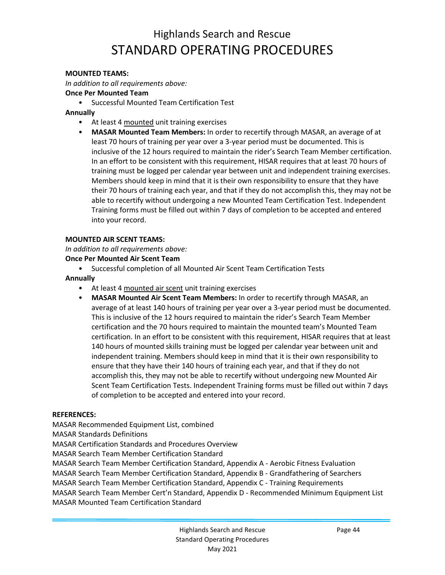#### **MOUNTED TEAMS:**

*In addition to all requirements above:* 

**Once Per Mounted Team**

• Successful Mounted Team Certification Test

#### **Annually**

- At least 4 mounted unit training exercises
- **MASAR Mounted Team Members:** In order to recertify through MASAR, an average of at least 70 hours of training per year over a 3-year period must be documented. This is inclusive of the 12 hours required to maintain the rider's Search Team Member certification. In an effort to be consistent with this requirement, HISAR requires that at least 70 hours of training must be logged per calendar year between unit and independent training exercises. Members should keep in mind that it is their own responsibility to ensure that they have their 70 hours of training each year, and that if they do not accomplish this, they may not be able to recertify without undergoing a new Mounted Team Certification Test. Independent Training forms must be filled out within 7 days of completion to be accepted and entered into your record.

#### **MOUNTED AIR SCENT TEAMS:**

*In addition to all requirements above:* 

#### **Once Per Mounted Air Scent Team**

• Successful completion of all Mounted Air Scent Team Certification Tests

#### **Annually**

- At least 4 mounted air scent unit training exercises
- **MASAR Mounted Air Scent Team Members:** In order to recertify through MASAR, an average of at least 140 hours of training per year over a 3-year period must be documented. This is inclusive of the 12 hours required to maintain the rider's Search Team Member certification and the 70 hours required to maintain the mounted team's Mounted Team certification. In an effort to be consistent with this requirement, HISAR requires that at least 140 hours of mounted skills training must be logged per calendar year between unit and independent training. Members should keep in mind that it is their own responsibility to ensure that they have their 140 hours of training each year, and that if they do not accomplish this, they may not be able to recertify without undergoing new Mounted Air Scent Team Certification Tests. Independent Training forms must be filled out within 7 days of completion to be accepted and entered into your record.

#### **REFERENCES:**

MASAR Recommended Equipment List, combined MASAR Standards Definitions MASAR Certification Standards and Procedures Overview MASAR Search Team Member Certification Standard MASAR Search Team Member Certification Standard, Appendix A - Aerobic Fitness Evaluation MASAR Search Team Member Certification Standard, Appendix B - Grandfathering of Searchers MASAR Search Team Member Certification Standard, Appendix C - Training Requirements MASAR Search Team Member Cert'n Standard, Appendix D - Recommended Minimum Equipment List MASAR Mounted Team Certification Standard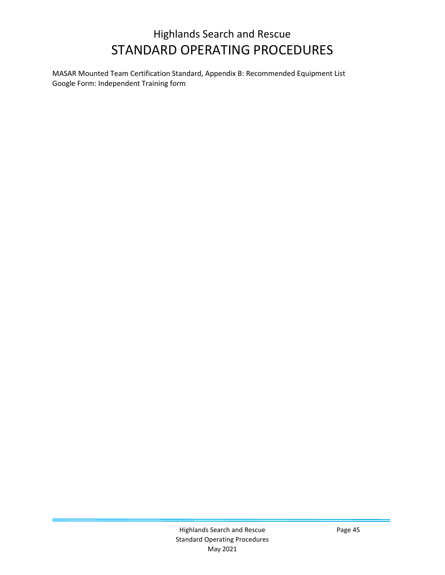MASAR Mounted Team Certification Standard, Appendix B: Recommended Equipment List Google Form: Independent Training form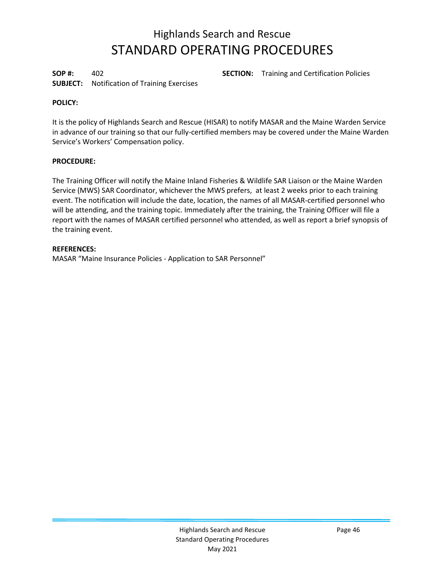**SUBJECT:** Notification of Training Exercises

**SOP #:** 402 **SECTION:** Training and Certification Policies

#### **POLICY:**

It is the policy of Highlands Search and Rescue (HISAR) to notify MASAR and the Maine Warden Service in advance of our training so that our fully-certified members may be covered under the Maine Warden Service's Workers' Compensation policy.

#### **PROCEDURE:**

The Training Officer will notify the Maine Inland Fisheries & Wildlife SAR Liaison or the Maine Warden Service (MWS) SAR Coordinator, whichever the MWS prefers, at least 2 weeks prior to each training event. The notification will include the date, location, the names of all MASAR-certified personnel who will be attending, and the training topic. Immediately after the training, the Training Officer will file a report with the names of MASAR certified personnel who attended, as well as report a brief synopsis of the training event.

#### **REFERENCES:**

MASAR "Maine Insurance Policies - Application to SAR Personnel"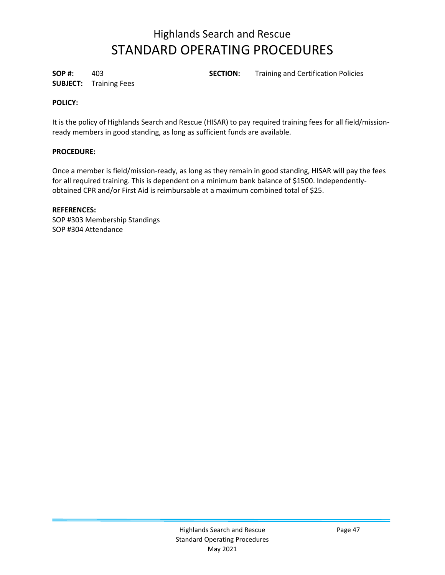**SUBJECT:** Training Fees

**SOP #:** 403 **SECTION:** Training and Certification Policies

#### **POLICY:**

It is the policy of Highlands Search and Rescue (HISAR) to pay required training fees for all field/missionready members in good standing, as long as sufficient funds are available.

#### **PROCEDURE:**

Once a member is field/mission-ready, as long as they remain in good standing, HISAR will pay the fees for all required training. This is dependent on a minimum bank balance of \$1500. Independentlyobtained CPR and/or First Aid is reimbursable at a maximum combined total of \$25.

#### **REFERENCES:**

SOP #303 Membership Standings SOP #304 Attendance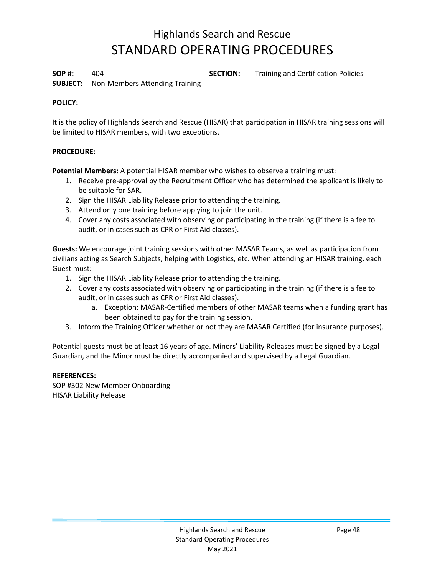**SOP #:** 404 **SECTION:** Training and Certification Policies

**SUBJECT:** Non-Members Attending Training

#### **POLICY:**

It is the policy of Highlands Search and Rescue (HISAR) that participation in HISAR training sessions will be limited to HISAR members, with two exceptions.

#### **PROCEDURE:**

**Potential Members:** A potential HISAR member who wishes to observe a training must:

- 1. Receive pre-approval by the Recruitment Officer who has determined the applicant is likely to be suitable for SAR.
- 2. Sign the HISAR Liability Release prior to attending the training.
- 3. Attend only one training before applying to join the unit.
- 4. Cover any costs associated with observing or participating in the training (if there is a fee to audit, or in cases such as CPR or First Aid classes).

**Guests:** We encourage joint training sessions with other MASAR Teams, as well as participation from civilians acting as Search Subjects, helping with Logistics, etc. When attending an HISAR training, each Guest must:

- 1. Sign the HISAR Liability Release prior to attending the training.
- 2. Cover any costs associated with observing or participating in the training (if there is a fee to audit, or in cases such as CPR or First Aid classes).
	- a. Exception: MASAR-Certified members of other MASAR teams when a funding grant has been obtained to pay for the training session.
- 3. Inform the Training Officer whether or not they are MASAR Certified (for insurance purposes).

Potential guests must be at least 16 years of age. Minors' Liability Releases must be signed by a Legal Guardian, and the Minor must be directly accompanied and supervised by a Legal Guardian.

#### **REFERENCES:**

SOP #302 New Member Onboarding HISAR Liability Release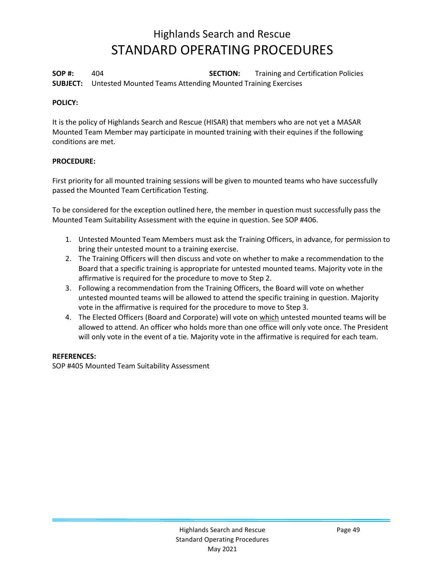**SOP #:** 404 **SECTION:** Training and Certification Policies **SUBJECT:** Untested Mounted Teams Attending Mounted Training Exercises

#### **POLICY:**

It is the policy of Highlands Search and Rescue (HISAR) that members who are not yet a MASAR Mounted Team Member may participate in mounted training with their equines if the following conditions are met.

#### **PROCEDURE:**

First priority for all mounted training sessions will be given to mounted teams who have successfully passed the Mounted Team Certification Testing.

To be considered for the exception outlined here, the member in question must successfully pass the Mounted Team Suitability Assessment with the equine in question. See SOP #406.

- 1. Untested Mounted Team Members must ask the Training Officers, in advance, for permission to bring their untested mount to a training exercise.
- 2. The Training Officers will then discuss and vote on whether to make a recommendation to the Board that a specific training is appropriate for untested mounted teams. Majority vote in the affirmative is required for the procedure to move to Step 2.
- 3. Following a recommendation from the Training Officers, the Board will vote on whether untested mounted teams will be allowed to attend the specific training in question. Majority vote in the affirmative is required for the procedure to move to Step 3.
- 4. The Elected Officers (Board and Corporate) will vote on which untested mounted teams will be allowed to attend. An officer who holds more than one office will only vote once. The President will only vote in the event of a tie. Majority vote in the affirmative is required for each team.

#### **REFERENCES:**

SOP #405 Mounted Team Suitability Assessment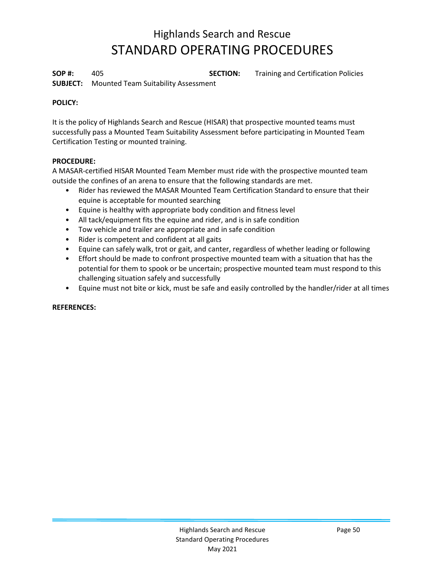**SOP #:** 405 **SECTION:** Training and Certification Policies

**SUBJECT:** Mounted Team Suitability Assessment

### **POLICY:**

It is the policy of Highlands Search and Rescue (HISAR) that prospective mounted teams must successfully pass a Mounted Team Suitability Assessment before participating in Mounted Team Certification Testing or mounted training.

### **PROCEDURE:**

A MASAR-certified HISAR Mounted Team Member must ride with the prospective mounted team outside the confines of an arena to ensure that the following standards are met.

- Rider has reviewed the MASAR Mounted Team Certification Standard to ensure that their equine is acceptable for mounted searching
- Equine is healthy with appropriate body condition and fitness level
- All tack/equipment fits the equine and rider, and is in safe condition
- Tow vehicle and trailer are appropriate and in safe condition
- Rider is competent and confident at all gaits
- Equine can safely walk, trot or gait, and canter, regardless of whether leading or following
- Effort should be made to confront prospective mounted team with a situation that has the potential for them to spook or be uncertain; prospective mounted team must respond to this challenging situation safely and successfully
- Equine must not bite or kick, must be safe and easily controlled by the handler/rider at all times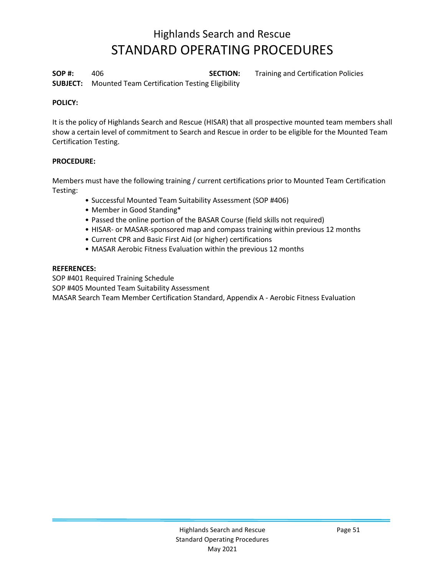**SOP #:** 406 **SECTION:** Training and Certification Policies **SUBJECT:** Mounted Team Certification Testing Eligibility

#### **POLICY:**

It is the policy of Highlands Search and Rescue (HISAR) that all prospective mounted team members shall show a certain level of commitment to Search and Rescue in order to be eligible for the Mounted Team Certification Testing.

#### **PROCEDURE:**

Members must have the following training / current certifications prior to Mounted Team Certification Testing:

- Successful Mounted Team Suitability Assessment (SOP #406)
- Member in Good Standing\*
- Passed the online portion of the BASAR Course (field skills not required)
- HISAR- or MASAR-sponsored map and compass training within previous 12 months
- Current CPR and Basic First Aid (or higher) certifications
- MASAR Aerobic Fitness Evaluation within the previous 12 months

#### **REFERENCES:**

SOP #401 Required Training Schedule

SOP #405 Mounted Team Suitability Assessment

MASAR Search Team Member Certification Standard, Appendix A - Aerobic Fitness Evaluation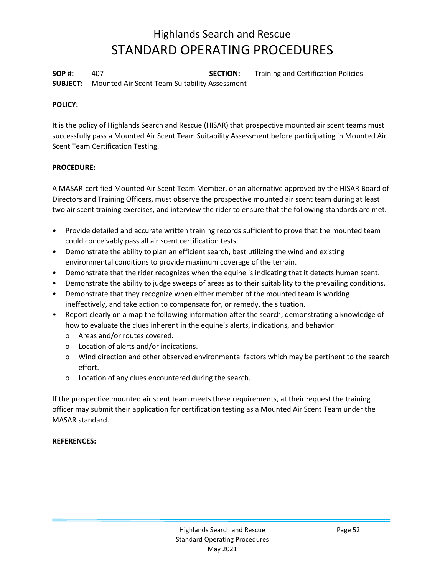**SOP #:** 407 **SECTION:** Training and Certification Policies **SUBJECT:** Mounted Air Scent Team Suitability Assessment

#### **POLICY:**

It is the policy of Highlands Search and Rescue (HISAR) that prospective mounted air scent teams must successfully pass a Mounted Air Scent Team Suitability Assessment before participating in Mounted Air Scent Team Certification Testing.

#### **PROCEDURE:**

A MASAR-certified Mounted Air Scent Team Member, or an alternative approved by the HISAR Board of Directors and Training Officers, must observe the prospective mounted air scent team during at least two air scent training exercises, and interview the rider to ensure that the following standards are met.

- Provide detailed and accurate written training records sufficient to prove that the mounted team could conceivably pass all air scent certification tests.
- Demonstrate the ability to plan an efficient search, best utilizing the wind and existing environmental conditions to provide maximum coverage of the terrain.
- Demonstrate that the rider recognizes when the equine is indicating that it detects human scent.
- Demonstrate the ability to judge sweeps of areas as to their suitability to the prevailing conditions.
- Demonstrate that they recognize when either member of the mounted team is working ineffectively, and take action to compensate for, or remedy, the situation.
- Report clearly on a map the following information after the search, demonstrating a knowledge of how to evaluate the clues inherent in the equine's alerts, indications, and behavior:
	- o Areas and/or routes covered.
	- o Location of alerts and/or indications.
	- o Wind direction and other observed environmental factors which may be pertinent to the search effort.
	- o Location of any clues encountered during the search.

If the prospective mounted air scent team meets these requirements, at their request the training officer may submit their application for certification testing as a Mounted Air Scent Team under the MASAR standard.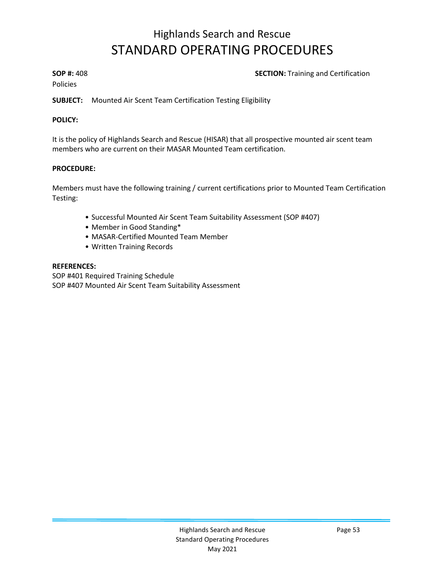#### **SOP #:** 408 **SECTION:** Training and Certification

Policies

**SUBJECT:** Mounted Air Scent Team Certification Testing Eligibility

#### **POLICY:**

It is the policy of Highlands Search and Rescue (HISAR) that all prospective mounted air scent team members who are current on their MASAR Mounted Team certification.

#### **PROCEDURE:**

Members must have the following training / current certifications prior to Mounted Team Certification Testing:

- Successful Mounted Air Scent Team Suitability Assessment (SOP #407)
- Member in Good Standing\*
- MASAR-Certified Mounted Team Member
- Written Training Records

#### **REFERENCES:**

SOP #401 Required Training Schedule SOP #407 Mounted Air Scent Team Suitability Assessment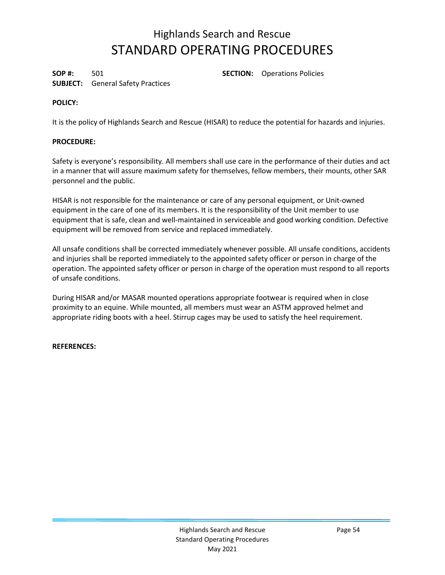**SUBJECT:** General Safety Practices

**SOP #:** 501 **SECTION:** Operations Policies

#### **POLICY:**

It is the policy of Highlands Search and Rescue (HISAR) to reduce the potential for hazards and injuries.

#### **PROCEDURE:**

Safety is everyone's responsibility. All members shall use care in the performance of their duties and act in a manner that will assure maximum safety for themselves, fellow members, their mounts, other SAR personnel and the public.

HISAR is not responsible for the maintenance or care of any personal equipment, or Unit-owned equipment in the care of one of its members. It is the responsibility of the Unit member to use equipment that is safe, clean and well-maintained in serviceable and good working condition. Defective equipment will be removed from service and replaced immediately.

All unsafe conditions shall be corrected immediately whenever possible. All unsafe conditions, accidents and injuries shall be reported immediately to the appointed safety officer or person in charge of the operation. The appointed safety officer or person in charge of the operation must respond to all reports of unsafe conditions.

During HISAR and/or MASAR mounted operations appropriate footwear is required when in close proximity to an equine. While mounted, all members must wear an ASTM approved helmet and appropriate riding boots with a heel. Stirrup cages may be used to satisfy the heel requirement.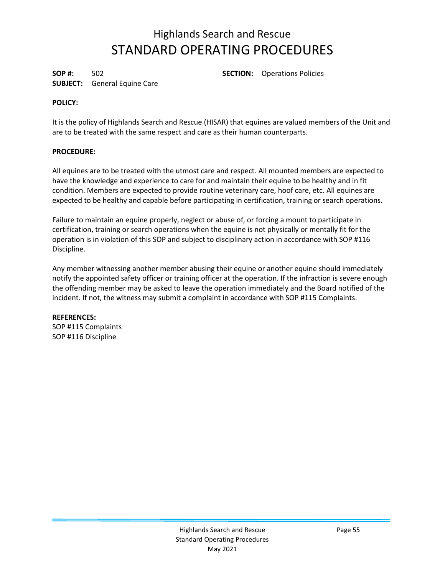**SUBJECT:** General Equine Care

**SOP #:** 502 **SECTION:** Operations Policies

#### **POLICY:**

It is the policy of Highlands Search and Rescue (HISAR) that equines are valued members of the Unit and are to be treated with the same respect and care as their human counterparts.

#### **PROCEDURE:**

All equines are to be treated with the utmost care and respect. All mounted members are expected to have the knowledge and experience to care for and maintain their equine to be healthy and in fit condition. Members are expected to provide routine veterinary care, hoof care, etc. All equines are expected to be healthy and capable before participating in certification, training or search operations.

Failure to maintain an equine properly, neglect or abuse of, or forcing a mount to participate in certification, training or search operations when the equine is not physically or mentally fit for the operation is in violation of this SOP and subject to disciplinary action in accordance with SOP #116 Discipline.

Any member witnessing another member abusing their equine or another equine should immediately notify the appointed safety officer or training officer at the operation. If the infraction is severe enough the offending member may be asked to leave the operation immediately and the Board notified of the incident. If not, the witness may submit a complaint in accordance with SOP #115 Complaints.

### **REFERENCES:**

SOP #115 Complaints SOP #116 Discipline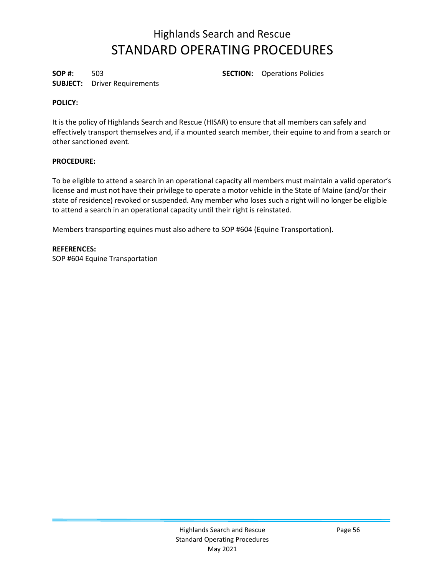**SUBJECT:** Driver Requirements

**SOP #:** 503 **SECTION:** Operations Policies

#### **POLICY:**

It is the policy of Highlands Search and Rescue (HISAR) to ensure that all members can safely and effectively transport themselves and, if a mounted search member, their equine to and from a search or other sanctioned event.

#### **PROCEDURE:**

To be eligible to attend a search in an operational capacity all members must maintain a valid operator's license and must not have their privilege to operate a motor vehicle in the State of Maine (and/or their state of residence) revoked or suspended. Any member who loses such a right will no longer be eligible to attend a search in an operational capacity until their right is reinstated.

Members transporting equines must also adhere to SOP #604 (Equine Transportation).

#### **REFERENCES:**

SOP #604 Equine Transportation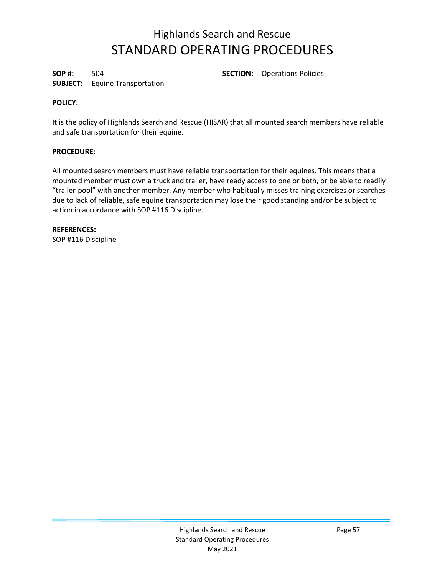**SUBJECT:** Equine Transportation

**SOP #:** 504 **SECTION:** Operations Policies

#### **POLICY:**

It is the policy of Highlands Search and Rescue (HISAR) that all mounted search members have reliable and safe transportation for their equine.

#### **PROCEDURE:**

All mounted search members must have reliable transportation for their equines. This means that a mounted member must own a truck and trailer, have ready access to one or both, or be able to readily "trailer-pool" with another member. Any member who habitually misses training exercises or searches due to lack of reliable, safe equine transportation may lose their good standing and/or be subject to action in accordance with SOP #116 Discipline.

**REFERENCES:** SOP #116 Discipline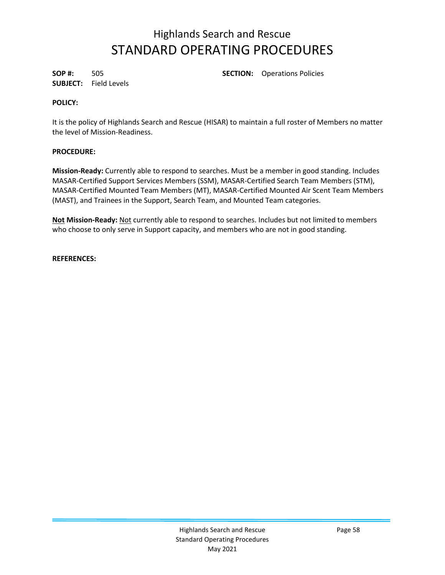**SUBJECT:** Field Levels

**SOP #:** 505 **SECTION:** Operations Policies

#### **POLICY:**

It is the policy of Highlands Search and Rescue (HISAR) to maintain a full roster of Members no matter the level of Mission-Readiness.

### **PROCEDURE:**

**Mission-Ready:** Currently able to respond to searches. Must be a member in good standing. Includes MASAR-Certified Support Services Members (SSM), MASAR-Certified Search Team Members (STM), MASAR-Certified Mounted Team Members (MT), MASAR-Certified Mounted Air Scent Team Members (MAST), and Trainees in the Support, Search Team, and Mounted Team categories.

**Not Mission-Ready:** Not currently able to respond to searches. Includes but not limited to members who choose to only serve in Support capacity, and members who are not in good standing.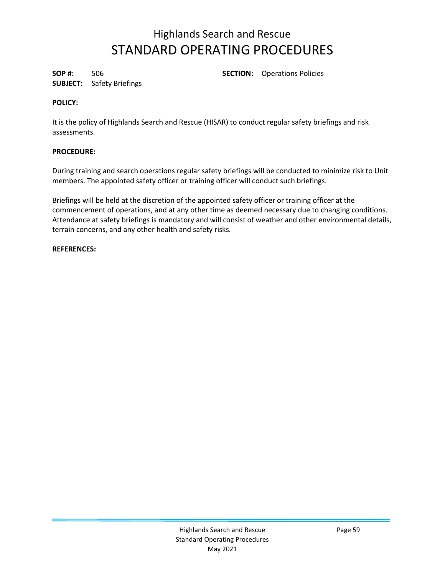**SUBJECT:** Safety Briefings

**SOP #:** 506 **SECTION:** Operations Policies

#### **POLICY:**

It is the policy of Highlands Search and Rescue (HISAR) to conduct regular safety briefings and risk assessments.

### **PROCEDURE:**

During training and search operations regular safety briefings will be conducted to minimize risk to Unit members. The appointed safety officer or training officer will conduct such briefings.

Briefings will be held at the discretion of the appointed safety officer or training officer at the commencement of operations, and at any other time as deemed necessary due to changing conditions. Attendance at safety briefings is mandatory and will consist of weather and other environmental details, terrain concerns, and any other health and safety risks.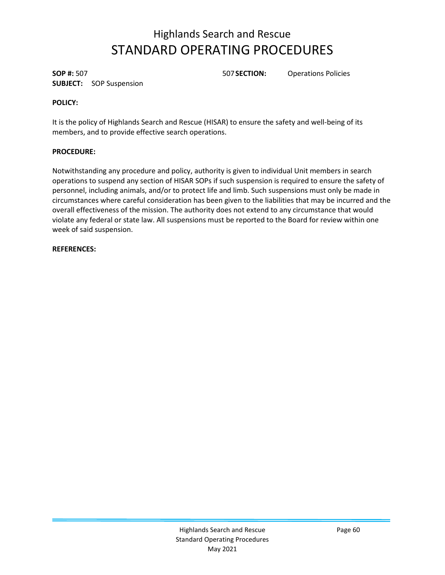**SOP #:** 507 507**SECTION:** Operations Policies **SUBJECT:** SOP Suspension

### **POLICY:**

It is the policy of Highlands Search and Rescue (HISAR) to ensure the safety and well-being of its members, and to provide effective search operations.

### **PROCEDURE:**

Notwithstanding any procedure and policy, authority is given to individual Unit members in search operations to suspend any section of HISAR SOPs if such suspension is required to ensure the safety of personnel, including animals, and/or to protect life and limb. Such suspensions must only be made in circumstances where careful consideration has been given to the liabilities that may be incurred and the overall effectiveness of the mission. The authority does not extend to any circumstance that would violate any federal or state law. All suspensions must be reported to the Board for review within one week of said suspension.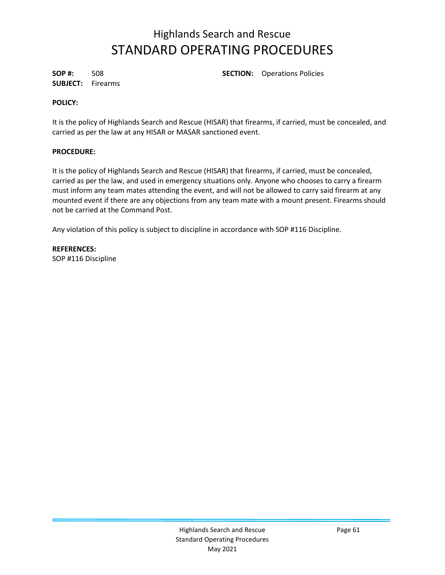**SUBJECT:** Firearms

**SOP #:** 508 **SECTION:** Operations Policies

#### **POLICY:**

It is the policy of Highlands Search and Rescue (HISAR) that firearms, if carried, must be concealed, and carried as per the law at any HISAR or MASAR sanctioned event.

#### **PROCEDURE:**

It is the policy of Highlands Search and Rescue (HISAR) that firearms, if carried, must be concealed, carried as per the law, and used in emergency situations only. Anyone who chooses to carry a firearm must inform any team mates attending the event, and will not be allowed to carry said firearm at any mounted event if there are any objections from any team mate with a mount present. Firearms should not be carried at the Command Post.

Any violation of this policy is subject to discipline in accordance with SOP #116 Discipline.

**REFERENCES:** SOP #116 Discipline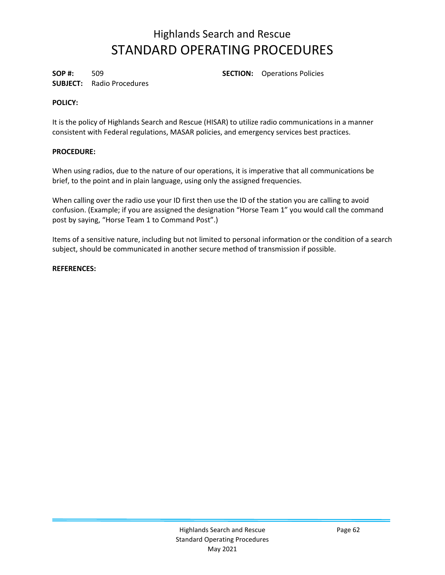**SUBJECT:** Radio Procedures

**SOP #:** 509 **SECTION:** Operations Policies

#### **POLICY:**

It is the policy of Highlands Search and Rescue (HISAR) to utilize radio communications in a manner consistent with Federal regulations, MASAR policies, and emergency services best practices.

#### **PROCEDURE:**

When using radios, due to the nature of our operations, it is imperative that all communications be brief, to the point and in plain language, using only the assigned frequencies.

When calling over the radio use your ID first then use the ID of the station you are calling to avoid confusion. (Example; if you are assigned the designation "Horse Team 1" you would call the command post by saying, "Horse Team 1 to Command Post".)

Items of a sensitive nature, including but not limited to personal information or the condition of a search subject, should be communicated in another secure method of transmission if possible.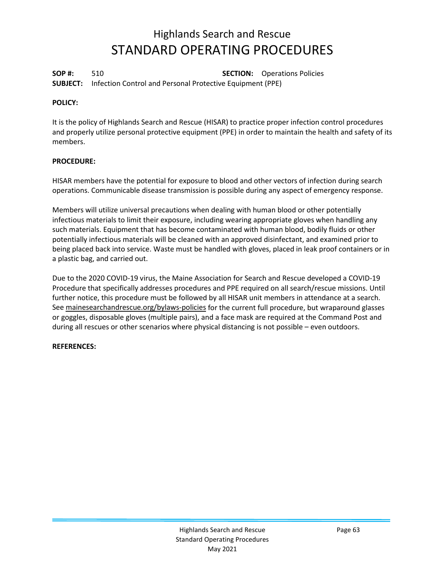**SOP #:** 510 **SECTION:** Operations Policies **SUBJECT:** Infection Control and Personal Protective Equipment (PPE)

#### **POLICY:**

It is the policy of Highlands Search and Rescue (HISAR) to practice proper infection control procedures and properly utilize personal protective equipment (PPE) in order to maintain the health and safety of its members.

#### **PROCEDURE:**

HISAR members have the potential for exposure to blood and other vectors of infection during search operations. Communicable disease transmission is possible during any aspect of emergency response.

Members will utilize universal precautions when dealing with human blood or other potentially infectious materials to limit their exposure, including wearing appropriate gloves when handling any such materials. Equipment that has become contaminated with human blood, bodily fluids or other potentially infectious materials will be cleaned with an approved disinfectant, and examined prior to being placed back into service. Waste must be handled with gloves, placed in leak proof containers or in a plastic bag, and carried out.

Due to the 2020 COVID-19 virus, the Maine Association for Search and Rescue developed a COVID-19 Procedure that specifically addresses procedures and PPE required on all search/rescue missions. Until further notice, this procedure must be followed by all HISAR unit members in attendance at a search. Se[e mainesearchandrescue.org/bylaws-policies](http://www.mainesearchandrescue.org/bylaws-policies) for the current full procedure, but wraparound glasses or goggles, disposable gloves (multiple pairs), and a face mask are required at the Command Post and during all rescues or other scenarios where physical distancing is not possible – even outdoors.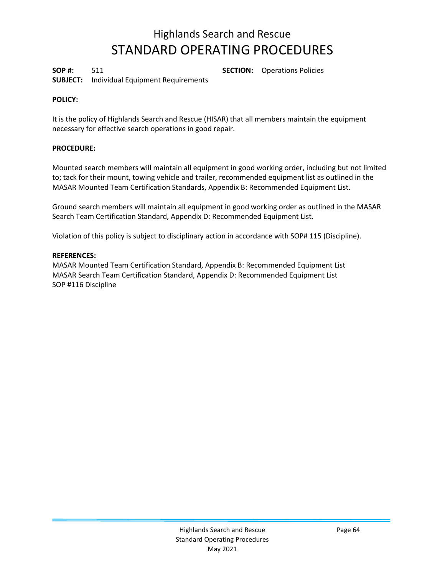**SOP #:** 511 **SECTION:** Operations Policies **SUBJECT:** Individual Equipment Requirements

#### **POLICY:**

It is the policy of Highlands Search and Rescue (HISAR) that all members maintain the equipment necessary for effective search operations in good repair.

#### **PROCEDURE:**

Mounted search members will maintain all equipment in good working order, including but not limited to; tack for their mount, towing vehicle and trailer, recommended equipment list as outlined in the MASAR Mounted Team Certification Standards, Appendix B: Recommended Equipment List.

Ground search members will maintain all equipment in good working order as outlined in the MASAR Search Team Certification Standard, Appendix D: Recommended Equipment List.

Violation of this policy is subject to disciplinary action in accordance with SOP# 115 (Discipline).

#### **REFERENCES:**

MASAR Mounted Team Certification Standard, Appendix B: Recommended Equipment List MASAR Search Team Certification Standard, Appendix D: Recommended Equipment List SOP #116 Discipline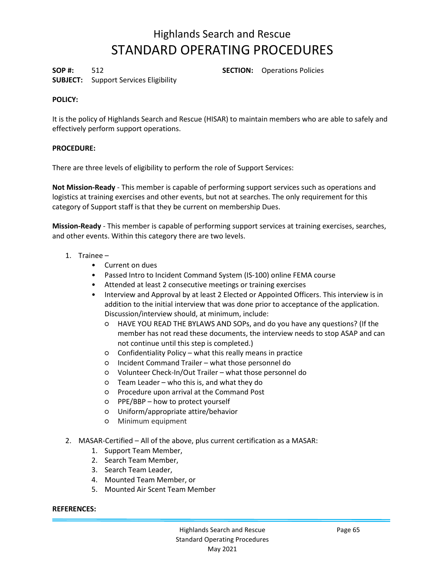**SOP #:** 512 **SECTION:** Operations Policies

### **SUBJECT:** Support Services Eligibility

#### **POLICY:**

It is the policy of Highlands Search and Rescue (HISAR) to maintain members who are able to safely and effectively perform support operations.

#### **PROCEDURE:**

There are three levels of eligibility to perform the role of Support Services:

**Not Mission-Ready** - This member is capable of performing support services such as operations and logistics at training exercises and other events, but not at searches. The only requirement for this category of Support staff is that they be current on membership Dues.

**Mission-Ready** - This member is capable of performing support services at training exercises, searches, and other events. Within this category there are two levels.

- 1. Trainee
	- Current on dues
	- Passed Intro to Incident Command System (IS-100) online FEMA course
	- Attended at least 2 consecutive meetings or training exercises
	- Interview and Approval by at least 2 Elected or Appointed Officers. This interview is in addition to the initial interview that was done prior to acceptance of the application. Discussion/interview should, at minimum, include:
		- HAVE YOU READ THE BYLAWS AND SOPs, and do you have any questions? (If the member has not read these documents, the interview needs to stop ASAP and can not continue until this step is completed.)
		- Confidentiality Policy what this really means in practice
		- Incident Command Trailer what those personnel do
		- Volunteer Check-In/Out Trailer what those personnel do
		- Team Leader who this is, and what they do
		- Procedure upon arrival at the Command Post
		- PPE/BBP how to protect yourself
		- Uniform/appropriate attire/behavior
		- Minimum equipment
- 2. MASAR-Certified All of the above, plus current certification as a MASAR:
	- 1. Support Team Member,
	- 2. Search Team Member,
	- 3. Search Team Leader,
	- 4. Mounted Team Member, or
	- 5. Mounted Air Scent Team Member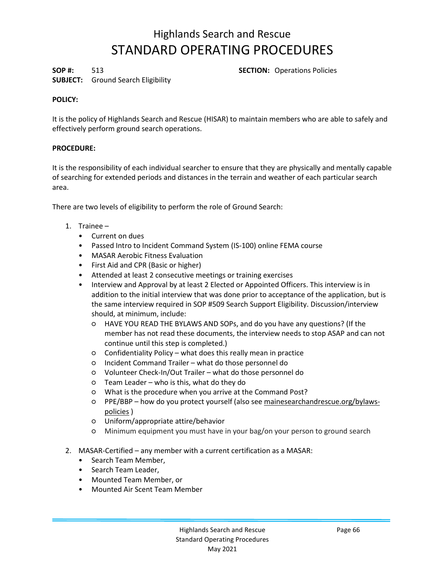**SUBJECT:** Ground Search Eligibility

**SOP #:** 513 **SECTION:** Operations Policies

#### **POLICY:**

It is the policy of Highlands Search and Rescue (HISAR) to maintain members who are able to safely and effectively perform ground search operations.

#### **PROCEDURE:**

It is the responsibility of each individual searcher to ensure that they are physically and mentally capable of searching for extended periods and distances in the terrain and weather of each particular search area.

There are two levels of eligibility to perform the role of Ground Search:

- 1. Trainee
	- Current on dues
	- Passed Intro to Incident Command System (IS-100) online FEMA course
	- MASAR Aerobic Fitness Evaluation
	- First Aid and CPR (Basic or higher)
	- Attended at least 2 consecutive meetings or training exercises
	- Interview and Approval by at least 2 Elected or Appointed Officers. This interview is in addition to the initial interview that was done prior to acceptance of the application, but is the same interview required in SOP #509 Search Support Eligibility. Discussion/interview should, at minimum, include:
		- HAVE YOU READ THE BYLAWS AND SOPs, and do you have any questions? (If the member has not read these documents, the interview needs to stop ASAP and can not continue until this step is completed.)
		- Confidentiality Policy what does this really mean in practice
		- Incident Command Trailer what do those personnel do
		- Volunteer Check-In/Out Trailer what do those personnel do
		- Team Leader who is this, what do they do
		- What is the procedure when you arrive at the Command Post?
		- PPE/BBP how do you protect yourself (also se[e mainesearchandrescue.org/bylaws](http://www.mainesearchandrescue.org/bylaws-policies)[policies](http://www.mainesearchandrescue.org/bylaws-policies) )
		- Uniform/appropriate attire/behavior
		- Minimum equipment you must have in your bag/on your person to ground search
- 2. MASAR-Certified any member with a current certification as a MASAR:
	- Search Team Member,
	- Search Team Leader,
	- Mounted Team Member, or
	- Mounted Air Scent Team Member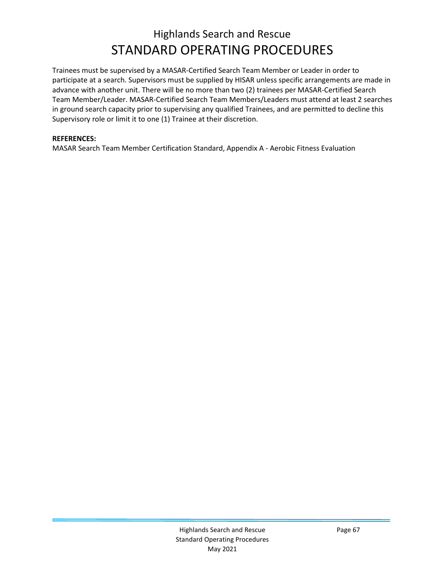Trainees must be supervised by a MASAR-Certified Search Team Member or Leader in order to participate at a search. Supervisors must be supplied by HISAR unless specific arrangements are made in advance with another unit. There will be no more than two (2) trainees per MASAR-Certified Search Team Member/Leader. MASAR-Certified Search Team Members/Leaders must attend at least 2 searches in ground search capacity prior to supervising any qualified Trainees, and are permitted to decline this Supervisory role or limit it to one (1) Trainee at their discretion.

#### **REFERENCES:**

MASAR Search Team Member Certification Standard, Appendix A - Aerobic Fitness Evaluation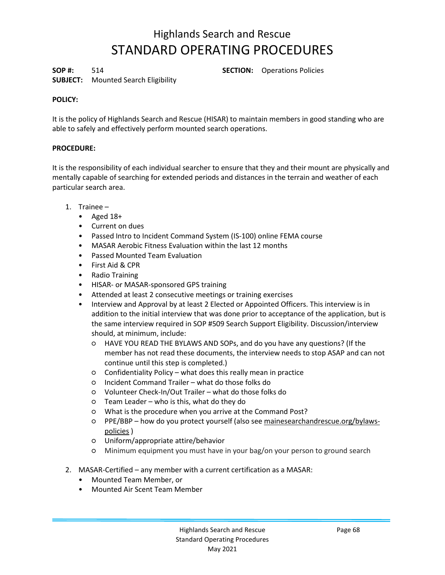**SOP #:** 514 **SECTION:** Operations Policies

### **SUBJECT:** Mounted Search Eligibility

### **POLICY:**

It is the policy of Highlands Search and Rescue (HISAR) to maintain members in good standing who are able to safely and effectively perform mounted search operations.

#### **PROCEDURE:**

It is the responsibility of each individual searcher to ensure that they and their mount are physically and mentally capable of searching for extended periods and distances in the terrain and weather of each particular search area.

- 1. Trainee
	- Aged 18+
	- Current on dues
	- Passed Intro to Incident Command System (IS-100) online FEMA course
	- MASAR Aerobic Fitness Evaluation within the last 12 months
	- Passed Mounted Team Evaluation
	- First Aid & CPR
	- Radio Training
	- HISAR- or MASAR-sponsored GPS training
	- Attended at least 2 consecutive meetings or training exercises
	- Interview and Approval by at least 2 Elected or Appointed Officers. This interview is in addition to the initial interview that was done prior to acceptance of the application, but is the same interview required in SOP #509 Search Support Eligibility. Discussion/interview should, at minimum, include:
		- HAVE YOU READ THE BYLAWS AND SOPs, and do you have any questions? (If the member has not read these documents, the interview needs to stop ASAP and can not continue until this step is completed.)
		- Confidentiality Policy what does this really mean in practice
		- Incident Command Trailer what do those folks do
		- Volunteer Check-In/Out Trailer what do those folks do
		- Team Leader who is this, what do they do
		- What is the procedure when you arrive at the Command Post?
		- PPE/BBP how do you protect yourself (also se[e mainesearchandrescue.org/bylaws](http://www.mainesearchandrescue.org/bylaws-policies)[policies](http://www.mainesearchandrescue.org/bylaws-policies) )
		- Uniform/appropriate attire/behavior
		- Minimum equipment you must have in your bag/on your person to ground search
- 2. MASAR-Certified any member with a current certification as a MASAR:
	- Mounted Team Member, or
	- Mounted Air Scent Team Member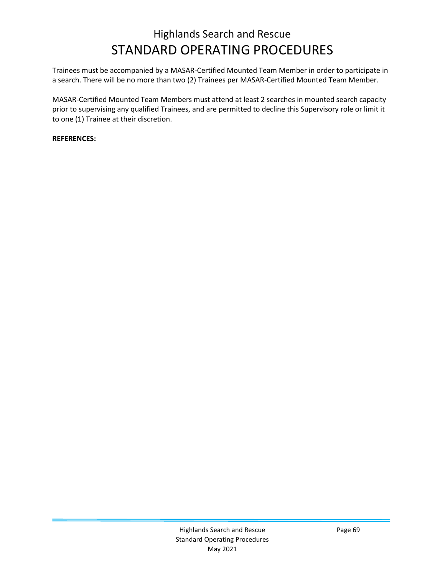Trainees must be accompanied by a MASAR-Certified Mounted Team Member in order to participate in a search. There will be no more than two (2) Trainees per MASAR-Certified Mounted Team Member.

MASAR-Certified Mounted Team Members must attend at least 2 searches in mounted search capacity prior to supervising any qualified Trainees, and are permitted to decline this Supervisory role or limit it to one (1) Trainee at their discretion.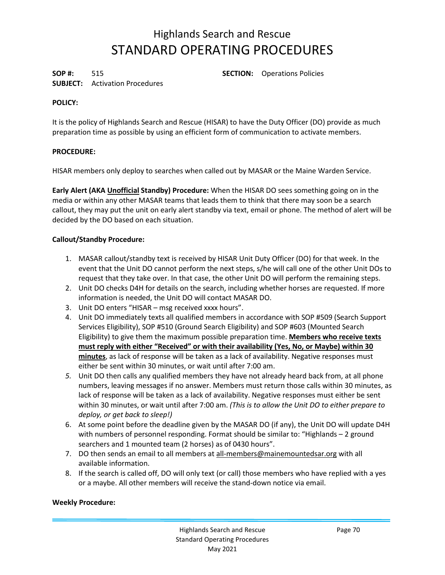**SOP #:** 515 **SECTION:** Operations Policies

### **SUBJECT:** Activation Procedures

### **POLICY:**

It is the policy of Highlands Search and Rescue (HISAR) to have the Duty Officer (DO) provide as much preparation time as possible by using an efficient form of communication to activate members.

### **PROCEDURE:**

HISAR members only deploy to searches when called out by MASAR or the Maine Warden Service.

**Early Alert (AKA Unofficial Standby) Procedure:** When the HISAR DO sees something going on in the media or within any other MASAR teams that leads them to think that there may soon be a search callout, they may put the unit on early alert standby via text, email or phone. The method of alert will be decided by the DO based on each situation.

#### **Callout/Standby Procedure:**

- 1. MASAR callout/standby text is received by HISAR Unit Duty Officer (DO) for that week. In the event that the Unit DO cannot perform the next steps, s/he will call one of the other Unit DOs to request that they take over. In that case, the other Unit DO will perform the remaining steps.
- 2. Unit DO checks D4H for details on the search, including whether horses are requested. If more information is needed, the Unit DO will contact MASAR DO.
- 3. Unit DO enters "HISAR msg received xxxx hours".
- 4. Unit DO immediately texts all qualified members in accordance with SOP #509 (Search Support Services Eligibility), SOP #510 (Ground Search Eligibility) and SOP #603 (Mounted Search Eligibility) to give them the maximum possible preparation time. **Members who receive texts must reply with either "Received" or with their availability (Yes, No, or Maybe) within 30 minutes**, as lack of response will be taken as a lack of availability. Negative responses must either be sent within 30 minutes, or wait until after 7:00 am.
- *5.* Unit DO then calls any qualified members they have not already heard back from, at all phone numbers, leaving messages if no answer. Members must return those calls within 30 minutes, as lack of response will be taken as a lack of availability. Negative responses must either be sent within 30 minutes, or wait until after 7:00 am. *(This is to allow the Unit DO to either prepare to deploy, or get back to sleep!)*
- 6. At some point before the deadline given by the MASAR DO (if any), the Unit DO will update D4H with numbers of personnel responding. Format should be similar to: "Highlands – 2 ground searchers and 1 mounted team (2 horses) as of 0430 hours".
- 7. DO then sends an email to all members at all-members@mainemountedsar.org with all available information.
- 8. If the search is called off, DO will only text (or call) those members who have replied with a yes or a maybe. All other members will receive the stand-down notice via email.

#### **Weekly Procedure:**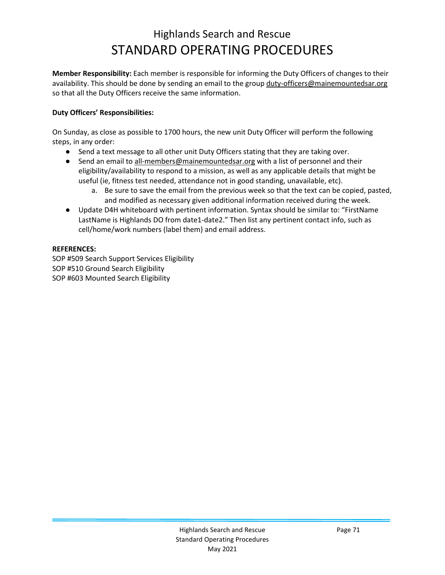**Member Responsibility:** Each member is responsible for informing the Duty Officers of changes to their availability. This should be done by sending an email to the group duty-officers@mainemountedsar.org so that all the Duty Officers receive the same information.

#### **Duty Officers' Responsibilities:**

On Sunday, as close as possible to 1700 hours, the new unit Duty Officer will perform the following steps, in any order:

- Send a text message to all other unit Duty Officers stating that they are taking over.
- Send an email to all-members@mainemountedsar.org with a list of personnel and their eligibility/availability to respond to a mission, as well as any applicable details that might be useful (ie, fitness test needed, attendance not in good standing, unavailable, etc).
	- a. Be sure to save the email from the previous week so that the text can be copied, pasted, and modified as necessary given additional information received during the week.
- Update D4H whiteboard with pertinent information. Syntax should be similar to: "FirstName LastName is Highlands DO from date1-date2." Then list any pertinent contact info, such as cell/home/work numbers (label them) and email address.

### **REFERENCES:**

SOP #509 Search Support Services Eligibility SOP #510 Ground Search Eligibility SOP #603 Mounted Search Eligibility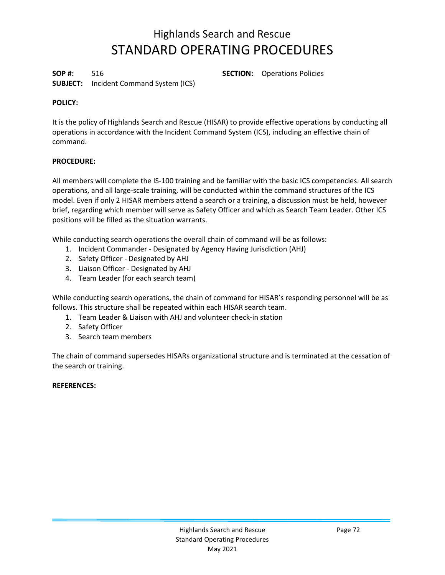**SOP #:** 516 **SECTION:** Operations Policies **SUBJECT:** Incident Command System (ICS)

#### **POLICY:**

It is the policy of Highlands Search and Rescue (HISAR) to provide effective operations by conducting all operations in accordance with the Incident Command System (ICS), including an effective chain of command.

#### **PROCEDURE:**

All members will complete the IS-100 training and be familiar with the basic ICS competencies. All search operations, and all large-scale training, will be conducted within the command structures of the ICS model. Even if only 2 HISAR members attend a search or a training, a discussion must be held, however brief, regarding which member will serve as Safety Officer and which as Search Team Leader. Other ICS positions will be filled as the situation warrants.

While conducting search operations the overall chain of command will be as follows:

- 1. Incident Commander Designated by Agency Having Jurisdiction (AHJ)
- 2. Safety Officer Designated by AHJ
- 3. Liaison Officer Designated by AHJ
- 4. Team Leader (for each search team)

While conducting search operations, the chain of command for HISAR's responding personnel will be as follows. This structure shall be repeated within each HISAR search team.

- 1. Team Leader & Liaison with AHJ and volunteer check-in station
- 2. Safety Officer
- 3. Search team members

The chain of command supersedes HISARs organizational structure and is terminated at the cessation of the search or training.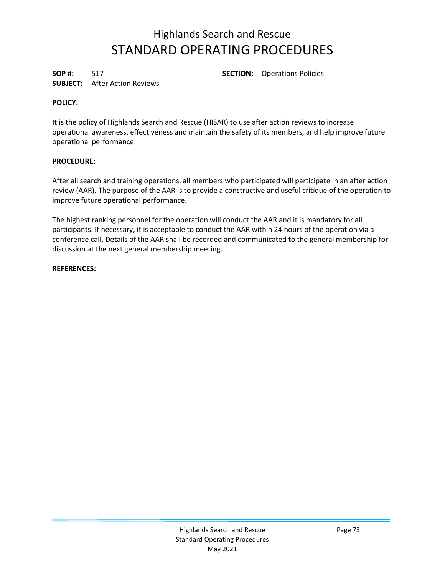## Highlands Search and Rescue STANDARD OPERATING PROCEDURES

**SUBJECT:** After Action Reviews

**SOP #:** 517 **SECTION:** Operations Policies

### **POLICY:**

It is the policy of Highlands Search and Rescue (HISAR) to use after action reviews to increase operational awareness, effectiveness and maintain the safety of its members, and help improve future operational performance.

### **PROCEDURE:**

After all search and training operations, all members who participated will participate in an after action review (AAR). The purpose of the AAR is to provide a constructive and useful critique of the operation to improve future operational performance.

The highest ranking personnel for the operation will conduct the AAR and it is mandatory for all participants. If necessary, it is acceptable to conduct the AAR within 24 hours of the operation via a conference call. Details of the AAR shall be recorded and communicated to the general membership for discussion at the next general membership meeting.

**REFERENCES:**